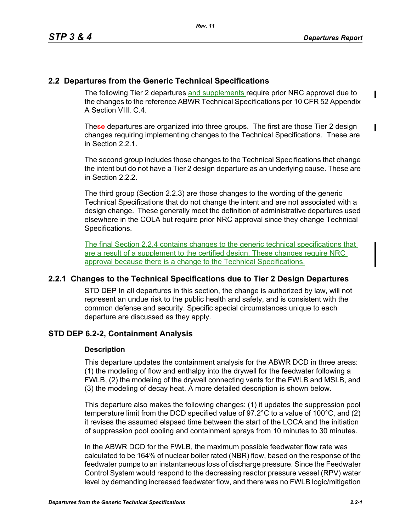$\mathbf I$ 

# **2.2 Departures from the Generic Technical Specifications**

The following Tier 2 departures and supplements require prior NRC approval due to the changes to the reference ABWR Technical Specifications per 10 CFR 52 Appendix A Section VIII. C. 4.

These departures are organized into three groups. The first are those Tier 2 design changes requiring implementing changes to the Technical Specifications. These are in Section 2.2.1.

The second group includes those changes to the Technical Specifications that change the intent but do not have a Tier 2 design departure as an underlying cause. These are in Section 2.2.2.

The third group (Section 2.2.3) are those changes to the wording of the generic Technical Specifications that do not change the intent and are not associated with a design change. These generally meet the definition of administrative departures used elsewhere in the COLA but require prior NRC approval since they change Technical Specifications.

The final Section 2.2.4 contains changes to the generic technical specifications that are a result of a supplement to the certified design. These changes require NRC approval because there is a change to the Technical Specifications.

## **2.2.1 Changes to the Technical Specifications due to Tier 2 Design Departures**

STD DEP In all departures in this section, the change is authorized by law, will not represent an undue risk to the public health and safety, and is consistent with the common defense and security. Specific special circumstances unique to each departure are discussed as they apply.

## **STD DEP 6.2-2, Containment Analysis**

#### **Description**

This departure updates the containment analysis for the ABWR DCD in three areas: (1) the modeling of flow and enthalpy into the drywell for the feedwater following a FWLB, (2) the modeling of the drywell connecting vents for the FWLB and MSLB, and (3) the modeling of decay heat. A more detailed description is shown below.

This departure also makes the following changes: (1) it updates the suppression pool temperature limit from the DCD specified value of 97.2°C to a value of 100°C, and (2) it revises the assumed elapsed time between the start of the LOCA and the initiation of suppression pool cooling and containment sprays from 10 minutes to 30 minutes.

In the ABWR DCD for the FWLB, the maximum possible feedwater flow rate was calculated to be 164% of nuclear boiler rated (NBR) flow, based on the response of the feedwater pumps to an instantaneous loss of discharge pressure. Since the Feedwater Control System would respond to the decreasing reactor pressure vessel (RPV) water level by demanding increased feedwater flow, and there was no FWLB logic/mitigation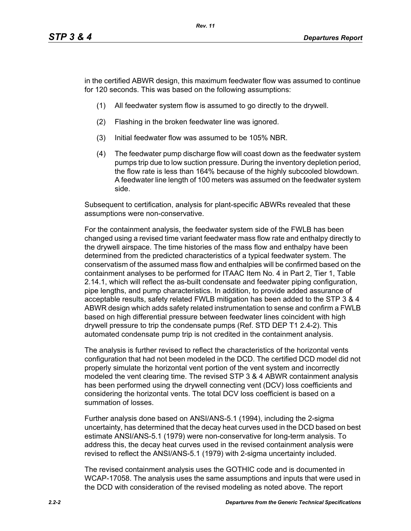in the certified ABWR design, this maximum feedwater flow was assumed to continue for 120 seconds. This was based on the following assumptions:

- (1) All feedwater system flow is assumed to go directly to the drywell.
- (2) Flashing in the broken feedwater line was ignored.
- (3) Initial feedwater flow was assumed to be 105% NBR.
- (4) The feedwater pump discharge flow will coast down as the feedwater system pumps trip due to low suction pressure. During the inventory depletion period, the flow rate is less than 164% because of the highly subcooled blowdown. A feedwater line length of 100 meters was assumed on the feedwater system side.

Subsequent to certification, analysis for plant-specific ABWRs revealed that these assumptions were non-conservative.

For the containment analysis, the feedwater system side of the FWLB has been changed using a revised time variant feedwater mass flow rate and enthalpy directly to the drywell airspace. The time histories of the mass flow and enthalpy have been determined from the predicted characteristics of a typical feedwater system. The conservatism of the assumed mass flow and enthalpies will be confirmed based on the containment analyses to be performed for ITAAC Item No. 4 in Part 2, Tier 1, Table 2.14.1, which will reflect the as-built condensate and feedwater piping configuration, pipe lengths, and pump characteristics. In addition, to provide added assurance of acceptable results, safety related FWLB mitigation has been added to the STP 3 & 4 ABWR design which adds safety related instrumentation to sense and confirm a FWLB based on high differential pressure between feedwater lines coincident with high drywell pressure to trip the condensate pumps (Ref. STD DEP T1 2.4-2). This automated condensate pump trip is not credited in the containment analysis.

The analysis is further revised to reflect the characteristics of the horizontal vents configuration that had not been modeled in the DCD. The certified DCD model did not properly simulate the horizontal vent portion of the vent system and incorrectly modeled the vent clearing time. The revised STP 3 & 4 ABWR containment analysis has been performed using the drywell connecting vent (DCV) loss coefficients and considering the horizontal vents. The total DCV loss coefficient is based on a summation of losses.

Further analysis done based on ANSI/ANS-5.1 (1994), including the 2-sigma uncertainty, has determined that the decay heat curves used in the DCD based on best estimate ANSI/ANS-5.1 (1979) were non-conservative for long-term analysis. To address this, the decay heat curves used in the revised containment analysis were revised to reflect the ANSI/ANS-5.1 (1979) with 2-sigma uncertainty included.

The revised containment analysis uses the GOTHIC code and is documented in WCAP-17058. The analysis uses the same assumptions and inputs that were used in the DCD with consideration of the revised modeling as noted above. The report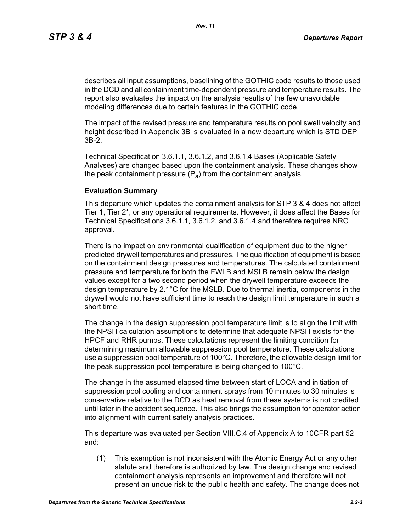describes all input assumptions, baselining of the GOTHIC code results to those used in the DCD and all containment time-dependent pressure and temperature results. The report also evaluates the impact on the analysis results of the few unavoidable modeling differences due to certain features in the GOTHIC code.

The impact of the revised pressure and temperature results on pool swell velocity and height described in Appendix 3B is evaluated in a new departure which is STD DEP 3B-2.

Technical Specification 3.6.1.1, 3.6.1.2, and 3.6.1.4 Bases (Applicable Safety Analyses) are changed based upon the containment analysis. These changes show the peak containment pressure  $(P_a)$  from the containment analysis.

#### **Evaluation Summary**

This departure which updates the containment analysis for STP 3 & 4 does not affect Tier 1, Tier 2\*, or any operational requirements. However, it does affect the Bases for Technical Specifications 3.6.1.1, 3.6.1.2, and 3.6.1.4 and therefore requires NRC approval.

There is no impact on environmental qualification of equipment due to the higher predicted drywell temperatures and pressures. The qualification of equipment is based on the containment design pressures and temperatures. The calculated containment pressure and temperature for both the FWLB and MSLB remain below the design values except for a two second period when the drywell temperature exceeds the design temperature by 2.1°C for the MSLB. Due to thermal inertia, components in the drywell would not have sufficient time to reach the design limit temperature in such a short time.

The change in the design suppression pool temperature limit is to align the limit with the NPSH calculation assumptions to determine that adequate NPSH exists for the HPCF and RHR pumps. These calculations represent the limiting condition for determining maximum allowable suppression pool temperature. These calculations use a suppression pool temperature of 100°C. Therefore, the allowable design limit for the peak suppression pool temperature is being changed to 100°C.

The change in the assumed elapsed time between start of LOCA and initiation of suppression pool cooling and containment sprays from 10 minutes to 30 minutes is conservative relative to the DCD as heat removal from these systems is not credited until later in the accident sequence. This also brings the assumption for operator action into alignment with current safety analysis practices.

This departure was evaluated per Section VIII.C.4 of Appendix A to 10CFR part 52 and:

(1) This exemption is not inconsistent with the Atomic Energy Act or any other statute and therefore is authorized by law. The design change and revised containment analysis represents an improvement and therefore will not present an undue risk to the public health and safety. The change does not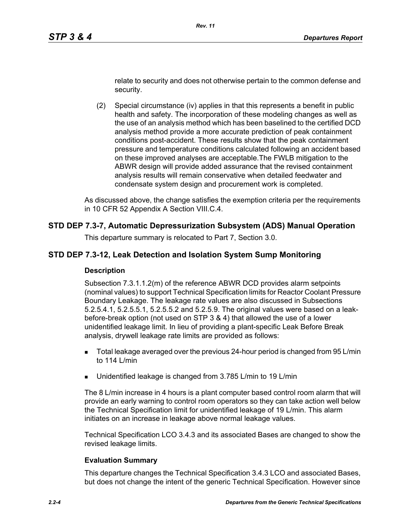relate to security and does not otherwise pertain to the common defense and security.

(2) Special circumstance (iv) applies in that this represents a benefit in public health and safety. The incorporation of these modeling changes as well as the use of an analysis method which has been baselined to the certified DCD analysis method provide a more accurate prediction of peak containment conditions post-accident. These results show that the peak containment pressure and temperature conditions calculated following an accident based on these improved analyses are acceptable.The FWLB mitigation to the ABWR design will provide added assurance that the revised containment analysis results will remain conservative when detailed feedwater and condensate system design and procurement work is completed.

As discussed above, the change satisfies the exemption criteria per the requirements in 10 CFR 52 Appendix A Section VIII.C.4.

## **STD DEP 7.3-7, Automatic Depressurization Subsystem (ADS) Manual Operation**

This departure summary is relocated to Part 7, Section 3.0.

## **STD DEP 7.3-12, Leak Detection and Isolation System Sump Monitoring**

#### **Description**

Subsection 7.3.1.1.2(m) of the reference ABWR DCD provides alarm setpoints (nominal values) to support Technical Specification limits for Reactor Coolant Pressure Boundary Leakage. The leakage rate values are also discussed in Subsections 5.2.5.4.1, 5.2.5.5.1, 5.2.5.5.2 and 5.2.5.9. The original values were based on a leakbefore-break option (not used on STP 3 & 4) that allowed the use of a lower unidentified leakage limit. In lieu of providing a plant-specific Leak Before Break analysis, drywell leakage rate limits are provided as follows:

- Total leakage averaged over the previous 24-hour period is changed from 95 L/min to 114 L/min
- **Unidentified leakage is changed from 3.785 L/min to 19 L/min**

The 8 L/min increase in 4 hours is a plant computer based control room alarm that will provide an early warning to control room operators so they can take action well below the Technical Specification limit for unidentified leakage of 19 L/min. This alarm initiates on an increase in leakage above normal leakage values.

Technical Specification LCO 3.4.3 and its associated Bases are changed to show the revised leakage limits.

## **Evaluation Summary**

This departure changes the Technical Specification 3.4.3 LCO and associated Bases, but does not change the intent of the generic Technical Specification. However since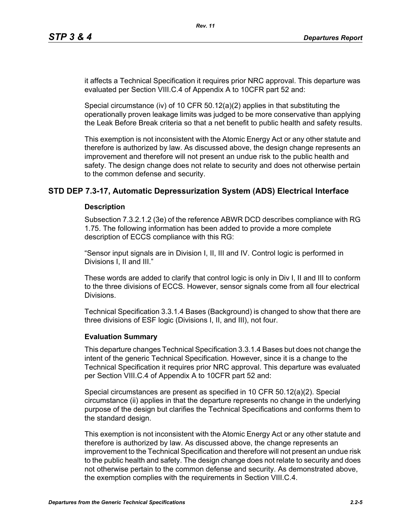it affects a Technical Specification it requires prior NRC approval. This departure was evaluated per Section VIII.C.4 of Appendix A to 10CFR part 52 and:

Special circumstance (iv) of 10 CFR  $50.12(a)(2)$  applies in that substituting the operationally proven leakage limits was judged to be more conservative than applying the Leak Before Break criteria so that a net benefit to public health and safety results.

This exemption is not inconsistent with the Atomic Energy Act or any other statute and therefore is authorized by law. As discussed above, the design change represents an improvement and therefore will not present an undue risk to the public health and safety. The design change does not relate to security and does not otherwise pertain to the common defense and security.

## **STD DEP 7.3-17, Automatic Depressurization System (ADS) Electrical Interface**

#### **Description**

Subsection 7.3.2.1.2 (3e) of the reference ABWR DCD describes compliance with RG 1.75. The following information has been added to provide a more complete description of ECCS compliance with this RG:

"Sensor input signals are in Division I, II, III and IV. Control logic is performed in Divisions I, II and III."

These words are added to clarify that control logic is only in Div I, II and III to conform to the three divisions of ECCS. However, sensor signals come from all four electrical Divisions.

Technical Specification 3.3.1.4 Bases (Background) is changed to show that there are three divisions of ESF logic (Divisions I, II, and III), not four.

#### **Evaluation Summary**

This departure changes Technical Specification 3.3.1.4 Bases but does not change the intent of the generic Technical Specification. However, since it is a change to the Technical Specification it requires prior NRC approval. This departure was evaluated per Section VIII.C.4 of Appendix A to 10CFR part 52 and:

Special circumstances are present as specified in 10 CFR 50.12(a)(2). Special circumstance (ii) applies in that the departure represents no change in the underlying purpose of the design but clarifies the Technical Specifications and conforms them to the standard design.

This exemption is not inconsistent with the Atomic Energy Act or any other statute and therefore is authorized by law. As discussed above, the change represents an improvement to the Technical Specification and therefore will not present an undue risk to the public health and safety. The design change does not relate to security and does not otherwise pertain to the common defense and security. As demonstrated above, the exemption complies with the requirements in Section VIII.C.4.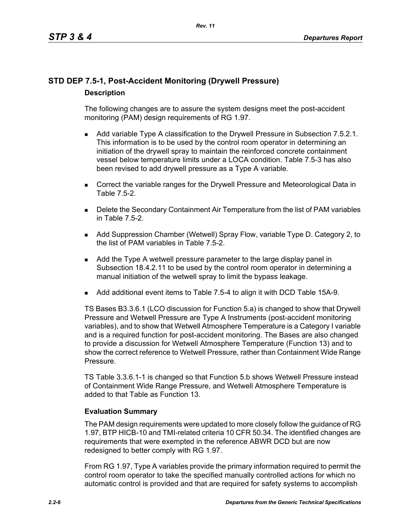# **STD DEP 7.5-1, Post-Accident Monitoring (Drywell Pressure) Description**

The following changes are to assure the system designs meet the post-accident monitoring (PAM) design requirements of RG 1.97.

- **Add variable Type A classification to the Drywell Pressure in Subsection 7.5.2.1.** This information is to be used by the control room operator in determining an initiation of the drywell spray to maintain the reinforced concrete containment vessel below temperature limits under a LOCA condition. Table 7.5-3 has also been revised to add drywell pressure as a Type A variable.
- **Correct the variable ranges for the Drywell Pressure and Meteorological Data in** Table 7.5-2.
- **Delete the Secondary Containment Air Temperature from the list of PAM variables** in Table 7.5-2.
- Add Suppression Chamber (Wetwell) Spray Flow, variable Type D. Category 2, to the list of PAM variables in Table 7.5-2.
- Add the Type A wetwell pressure parameter to the large display panel in Subsection 18.4.2.11 to be used by the control room operator in determining a manual initiation of the wetwell spray to limit the bypass leakage.
- Add additional event items to Table 7.5-4 to align it with DCD Table 15A-9.

TS Bases B3.3.6.1 (LCO discussion for Function 5.a) is changed to show that Drywell Pressure and Wetwell Pressure are Type A Instruments (post-accident monitoring variables), and to show that Wetwell Atmosphere Temperature is a Category I variable and is a required function for post-accident monitoring. The Bases are also changed to provide a discussion for Wetwell Atmosphere Temperature (Function 13) and to show the correct reference to Wetwell Pressure, rather than Containment Wide Range Pressure.

TS Table 3.3.6.1-1 is changed so that Function 5.b shows Wetwell Pressure instead of Containment Wide Range Pressure, and Wetwell Atmosphere Temperature is added to that Table as Function 13.

## **Evaluation Summary**

The PAM design requirements were updated to more closely follow the guidance of RG 1.97, BTP HICB-10 and TMI-related criteria 10 CFR 50.34. The identified changes are requirements that were exempted in the reference ABWR DCD but are now redesigned to better comply with RG 1.97.

From RG 1.97, Type A variables provide the primary information required to permit the control room operator to take the specified manually controlled actions for which no automatic control is provided and that are required for safety systems to accomplish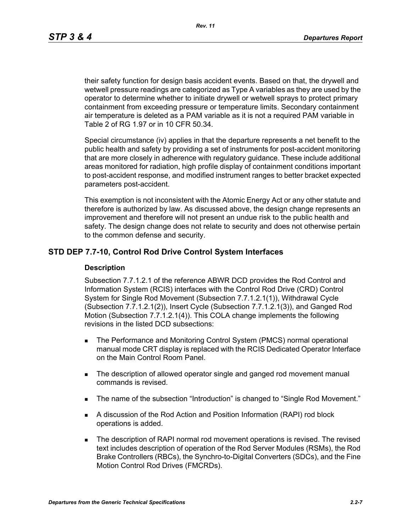*Rev. 11*

their safety function for design basis accident events. Based on that, the drywell and wetwell pressure readings are categorized as Type A variables as they are used by the operator to determine whether to initiate drywell or wetwell sprays to protect primary containment from exceeding pressure or temperature limits. Secondary containment air temperature is deleted as a PAM variable as it is not a required PAM variable in Table 2 of RG 1.97 or in 10 CFR 50.34.

Special circumstance (iv) applies in that the departure represents a net benefit to the public health and safety by providing a set of instruments for post-accident monitoring that are more closely in adherence with regulatory guidance. These include additional areas monitored for radiation, high profile display of containment conditions important to post-accident response, and modified instrument ranges to better bracket expected parameters post-accident.

This exemption is not inconsistent with the Atomic Energy Act or any other statute and therefore is authorized by law. As discussed above, the design change represents an improvement and therefore will not present an undue risk to the public health and safety. The design change does not relate to security and does not otherwise pertain to the common defense and security.

## **STD DEP 7.7-10, Control Rod Drive Control System Interfaces**

#### **Description**

Subsection 7.7.1.2.1 of the reference ABWR DCD provides the Rod Control and Information System (RCIS) interfaces with the Control Rod Drive (CRD) Control System for Single Rod Movement (Subsection 7.7.1.2.1(1)), Withdrawal Cycle (Subsection 7.7.1.2.1(2)), Insert Cycle (Subsection 7.7.1.2.1(3)), and Ganged Rod Motion (Subsection 7.7.1.2.1(4)). This COLA change implements the following revisions in the listed DCD subsections:

- **The Performance and Monitoring Control System (PMCS) normal operational** manual mode CRT display is replaced with the RCIS Dedicated Operator Interface on the Main Control Room Panel.
- The description of allowed operator single and ganged rod movement manual commands is revised.
- The name of the subsection "Introduction" is changed to "Single Rod Movement."
- A discussion of the Rod Action and Position Information (RAPI) rod block operations is added.
- **The description of RAPI normal rod movement operations is revised. The revised** text includes description of operation of the Rod Server Modules (RSMs), the Rod Brake Controllers (RBCs), the Synchro-to-Digital Converters (SDCs), and the Fine Motion Control Rod Drives (FMCRDs).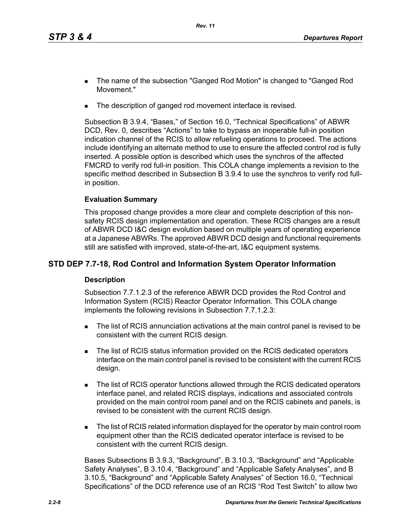- The name of the subsection "Ganged Rod Motion" is changed to "Ganged Rod Movement."
- The description of ganged rod movement interface is revised.

Subsection B 3.9.4, "Bases," of Section 16.0, "Technical Specifications" of ABWR DCD, Rev. 0, describes "Actions" to take to bypass an inoperable full-in position indication channel of the RCIS to allow refueling operations to proceed. The actions include identifying an alternate method to use to ensure the affected control rod is fully inserted. A possible option is described which uses the synchros of the affected FMCRD to verify rod full-in position. This COLA change implements a revision to the specific method described in Subsection B 3.9.4 to use the synchros to verify rod fullin position.

## **Evaluation Summary**

This proposed change provides a more clear and complete description of this nonsafety RCIS design implementation and operation. These RCIS changes are a result of ABWR DCD I&C design evolution based on multiple years of operating experience at a Japanese ABWRs. The approved ABWR DCD design and functional requirements still are satisfied with improved, state-of-the-art, I&C equipment systems.

## **STD DEP 7.7-18, Rod Control and Information System Operator Information**

## **Description**

Subsection 7.7.1.2.3 of the reference ABWR DCD provides the Rod Control and Information System (RCIS) Reactor Operator Information. This COLA change implements the following revisions in Subsection 7.7.1.2.3:

- The list of RCIS annunciation activations at the main control panel is revised to be consistent with the current RCIS design.
- The list of RCIS status information provided on the RCIS dedicated operators interface on the main control panel is revised to be consistent with the current RCIS design.
- The list of RCIS operator functions allowed through the RCIS dedicated operators interface panel, and related RCIS displays, indications and associated controls provided on the main control room panel and on the RCIS cabinets and panels, is revised to be consistent with the current RCIS design.
- The list of RCIS related information displayed for the operator by main control room equipment other than the RCIS dedicated operator interface is revised to be consistent with the current RCIS design.

Bases Subsections B 3.9.3, "Background", B 3.10.3, "Background" and "Applicable Safety Analyses", B 3.10.4, "Background" and "Applicable Safety Analyses", and B 3.10.5, "Background" and "Applicable Safety Analyses" of Section 16.0, "Technical Specifications" of the DCD reference use of an RCIS "Rod Test Switch" to allow two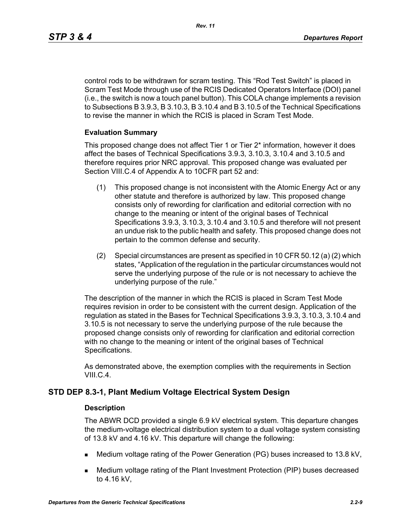control rods to be withdrawn for scram testing. This "Rod Test Switch" is placed in Scram Test Mode through use of the RCIS Dedicated Operators Interface (DOI) panel (i.e., the switch is now a touch panel button). This COLA change implements a revision to Subsections B 3.9.3, B 3.10.3, B 3.10.4 and B 3.10.5 of the Technical Specifications to revise the manner in which the RCIS is placed in Scram Test Mode.

#### **Evaluation Summary**

This proposed change does not affect Tier 1 or Tier 2\* information, however it does affect the bases of Technical Specifications 3.9.3, 3.10.3, 3.10.4 and 3.10.5 and therefore requires prior NRC approval. This proposed change was evaluated per Section VIII.C.4 of Appendix A to 10CFR part 52 and:

- (1) This proposed change is not inconsistent with the Atomic Energy Act or any other statute and therefore is authorized by law. This proposed change consists only of rewording for clarification and editorial correction with no change to the meaning or intent of the original bases of Technical Specifications 3.9.3, 3.10.3, 3.10.4 and 3.10.5 and therefore will not present an undue risk to the public health and safety. This proposed change does not pertain to the common defense and security.
- (2) Special circumstances are present as specified in 10 CFR 50.12 (a) (2) which states, "Application of the regulation in the particular circumstances would not serve the underlying purpose of the rule or is not necessary to achieve the underlying purpose of the rule."

The description of the manner in which the RCIS is placed in Scram Test Mode requires revision in order to be consistent with the current design. Application of the regulation as stated in the Bases for Technical Specifications 3.9.3, 3.10.3, 3.10.4 and 3.10.5 is not necessary to serve the underlying purpose of the rule because the proposed change consists only of rewording for clarification and editorial correction with no change to the meaning or intent of the original bases of Technical Specifications.

As demonstrated above, the exemption complies with the requirements in Section VIII.C.4.

## **STD DEP 8.3-1, Plant Medium Voltage Electrical System Design**

#### **Description**

The ABWR DCD provided a single 6.9 kV electrical system. This departure changes the medium-voltage electrical distribution system to a dual voltage system consisting of 13.8 kV and 4.16 kV. This departure will change the following:

- Medium voltage rating of the Power Generation (PG) buses increased to 13.8 kV,
- Medium voltage rating of the Plant Investment Protection (PIP) buses decreased to 4.16 kV,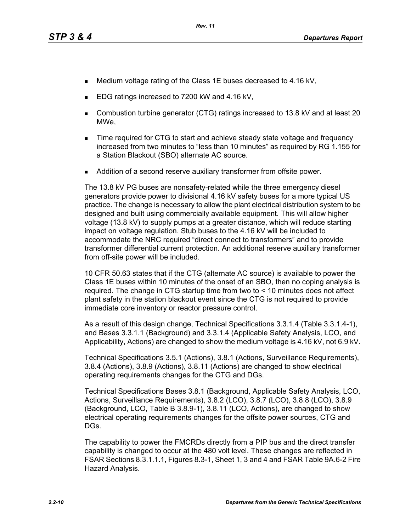- Medium voltage rating of the Class 1E buses decreased to 4.16 kV,
- EDG ratings increased to 7200 kW and 4.16 kV,
- Combustion turbine generator (CTG) ratings increased to 13.8 kV and at least 20 MWe,
- **Time required for CTG to start and achieve steady state voltage and frequency** increased from two minutes to "less than 10 minutes" as required by RG 1.155 for a Station Blackout (SBO) alternate AC source.
- Addition of a second reserve auxiliary transformer from offsite power.

The 13.8 kV PG buses are nonsafety-related while the three emergency diesel generators provide power to divisional 4.16 kV safety buses for a more typical US practice. The change is necessary to allow the plant electrical distribution system to be designed and built using commercially available equipment. This will allow higher voltage (13.8 kV) to supply pumps at a greater distance, which will reduce starting impact on voltage regulation. Stub buses to the 4.16 kV will be included to accommodate the NRC required "direct connect to transformers" and to provide transformer differential current protection. An additional reserve auxiliary transformer from off-site power will be included.

10 CFR 50.63 states that if the CTG (alternate AC source) is available to power the Class 1E buses within 10 minutes of the onset of an SBO, then no coping analysis is required. The change in CTG startup time from two to < 10 minutes does not affect plant safety in the station blackout event since the CTG is not required to provide immediate core inventory or reactor pressure control.

As a result of this design change, Technical Specifications 3.3.1.4 (Table 3.3.1.4-1), and Bases 3.3.1.1 (Background) and 3.3.1.4 (Applicable Safety Analysis, LCO, and Applicability, Actions) are changed to show the medium voltage is 4.16 kV, not 6.9 kV.

Technical Specifications 3.5.1 (Actions), 3.8.1 (Actions, Surveillance Requirements), 3.8.4 (Actions), 3.8.9 (Actions), 3.8.11 (Actions) are changed to show electrical operating requirements changes for the CTG and DGs.

Technical Specifications Bases 3.8.1 (Background, Applicable Safety Analysis, LCO, Actions, Surveillance Requirements), 3.8.2 (LCO), 3.8.7 (LCO), 3.8.8 (LCO), 3.8.9 (Background, LCO, Table B 3.8.9-1), 3.8.11 (LCO, Actions), are changed to show electrical operating requirements changes for the offsite power sources, CTG and DGs.

The capability to power the FMCRDs directly from a PIP bus and the direct transfer capability is changed to occur at the 480 volt level. These changes are reflected in FSAR Sections 8.3.1.1.1, Figures 8.3-1, Sheet 1, 3 and 4 and FSAR Table 9A.6-2 Fire Hazard Analysis.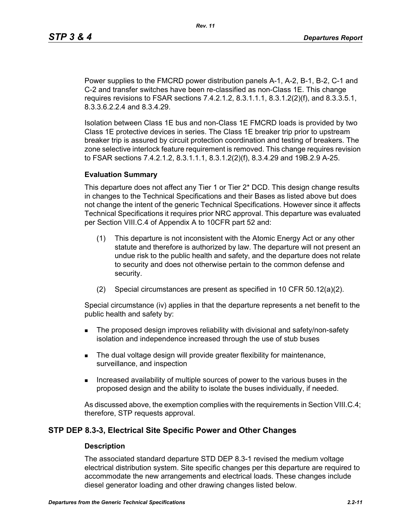Power supplies to the FMCRD power distribution panels A-1, A-2, B-1, B-2, C-1 and C-2 and transfer switches have been re-classified as non-Class 1E. This change requires revisions to FSAR sections 7.4.2.1.2, 8.3.1.1.1, 8.3.1.2(2)(f), and 8.3.3.5.1, 8.3.3.6.2.2.4 and 8.3.4.29.

Isolation between Class 1E bus and non-Class 1E FMCRD loads is provided by two Class 1E protective devices in series. The Class 1E breaker trip prior to upstream breaker trip is assured by circuit protection coordination and testing of breakers. The zone selective interlock feature requirement is removed. This change requires revision to FSAR sections 7.4.2.1.2, 8.3.1.1.1, 8.3.1.2(2)(f), 8.3.4.29 and 19B.2.9 A-25.

#### **Evaluation Summary**

This departure does not affect any Tier 1 or Tier 2\* DCD. This design change results in changes to the Technical Specifications and their Bases as listed above but does not change the intent of the generic Technical Specifications. However since it affects Technical Specifications it requires prior NRC approval. This departure was evaluated per Section VIII.C.4 of Appendix A to 10CFR part 52 and:

- (1) This departure is not inconsistent with the Atomic Energy Act or any other statute and therefore is authorized by law. The departure will not present an undue risk to the public health and safety, and the departure does not relate to security and does not otherwise pertain to the common defense and security.
- (2) Special circumstances are present as specified in 10 CFR 50.12(a)(2).

Special circumstance (iv) applies in that the departure represents a net benefit to the public health and safety by:

- **The proposed design improves reliability with divisional and safety/non-safety** isolation and independence increased through the use of stub buses
- The dual voltage design will provide greater flexibility for maintenance, surveillance, and inspection
- Increased availability of multiple sources of power to the various buses in the proposed design and the ability to isolate the buses individually, if needed.

As discussed above, the exemption complies with the requirements in Section VIII.C.4; therefore, STP requests approval.

## **STP DEP 8.3-3, Electrical Site Specific Power and Other Changes**

#### **Description**

The associated standard departure STD DEP 8.3-1 revised the medium voltage electrical distribution system. Site specific changes per this departure are required to accommodate the new arrangements and electrical loads. These changes include diesel generator loading and other drawing changes listed below.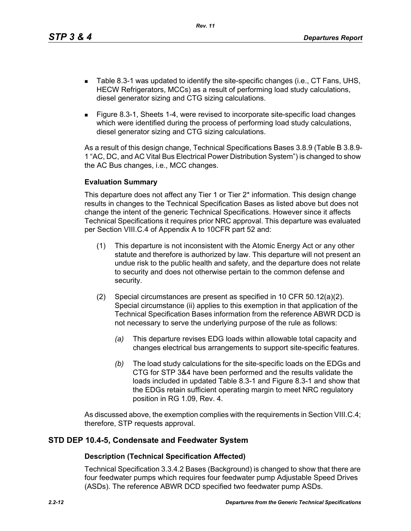*Rev. 11*

- Table 8.3-1 was updated to identify the site-specific changes (i.e., CT Fans, UHS, HECW Refrigerators, MCCs) as a result of performing load study calculations, diesel generator sizing and CTG sizing calculations.
- Figure 8.3-1, Sheets 1-4, were revised to incorporate site-specific load changes which were identified during the process of performing load study calculations, diesel generator sizing and CTG sizing calculations.

As a result of this design change, Technical Specifications Bases 3.8.9 (Table B 3.8.9- 1 "AC, DC, and AC Vital Bus Electrical Power Distribution System") is changed to show the AC Bus changes, i.e., MCC changes.

## **Evaluation Summary**

This departure does not affect any Tier 1 or Tier 2\* information. This design change results in changes to the Technical Specification Bases as listed above but does not change the intent of the generic Technical Specifications. However since it affects Technical Specifications it requires prior NRC approval. This departure was evaluated per Section VIII.C.4 of Appendix A to 10CFR part 52 and:

- (1) This departure is not inconsistent with the Atomic Energy Act or any other statute and therefore is authorized by law. This departure will not present an undue risk to the public health and safety, and the departure does not relate to security and does not otherwise pertain to the common defense and security.
- (2) Special circumstances are present as specified in 10 CFR 50.12(a)(2). Special circumstance (ii) applies to this exemption in that application of the Technical Specification Bases information from the reference ABWR DCD is not necessary to serve the underlying purpose of the rule as follows:
	- *(a)* This departure revises EDG loads within allowable total capacity and changes electrical bus arrangements to support site-specific features.
	- *(b)* The load study calculations for the site-specific loads on the EDGs and CTG for STP 3&4 have been performed and the results validate the loads included in updated Table 8.3-1 and Figure 8.3-1 and show that the EDGs retain sufficient operating margin to meet NRC regulatory position in RG 1.09, Rev. 4.

As discussed above, the exemption complies with the requirements in Section VIII.C.4; therefore, STP requests approval.

## **STD DEP 10.4-5, Condensate and Feedwater System**

## **Description (Technical Specification Affected)**

Technical Specification 3.3.4.2 Bases (Background) is changed to show that there are four feedwater pumps which requires four feedwater pump Adjustable Speed Drives (ASDs). The reference ABWR DCD specified two feedwater pump ASDs.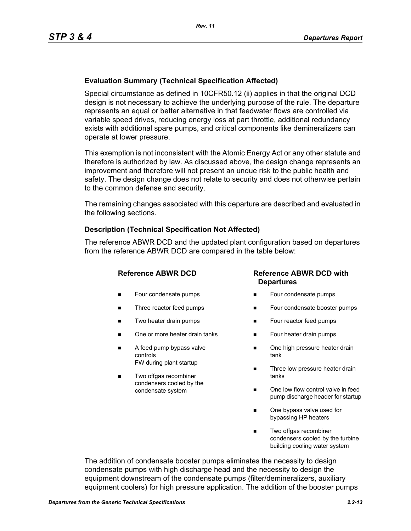## **Evaluation Summary (Technical Specification Affected)**

Special circumstance as defined in 10CFR50.12 (ii) applies in that the original DCD design is not necessary to achieve the underlying purpose of the rule. The departure represents an equal or better alternative in that feedwater flows are controlled via variable speed drives, reducing energy loss at part throttle, additional redundancy exists with additional spare pumps, and critical components like demineralizers can operate at lower pressure.

This exemption is not inconsistent with the Atomic Energy Act or any other statute and therefore is authorized by law. As discussed above, the design change represents an improvement and therefore will not present an undue risk to the public health and safety. The design change does not relate to security and does not otherwise pertain to the common defense and security.

The remaining changes associated with this departure are described and evaluated in the following sections.

#### **Description (Technical Specification Not Affected)**

The reference ABWR DCD and the updated plant configuration based on departures from the reference ABWR DCD are compared in the table below:

- **Four condensate pumps**
- Three reactor feed pumps
- Two heater drain pumps
- One or more heater drain tanks
- A feed pump bypass valve controls FW during plant startup
- Two offgas recombiner condensers cooled by the condensate system

## **Reference ABWR DCD Reference ABWR DCD with Departures**

- Four condensate pumps
- Four condensate booster pumps
- **Four reactor feed pumps**
- Four heater drain pumps
- One high pressure heater drain tank
- Three low pressure heater drain tanks
- One low flow control valve in feed pump discharge header for startup
- One bypass valve used for bypassing HP heaters
- Two offgas recombiner condensers cooled by the turbine building cooling water system

The addition of condensate booster pumps eliminates the necessity to design condensate pumps with high discharge head and the necessity to design the equipment downstream of the condensate pumps (filter/demineralizers, auxiliary equipment coolers) for high pressure application. The addition of the booster pumps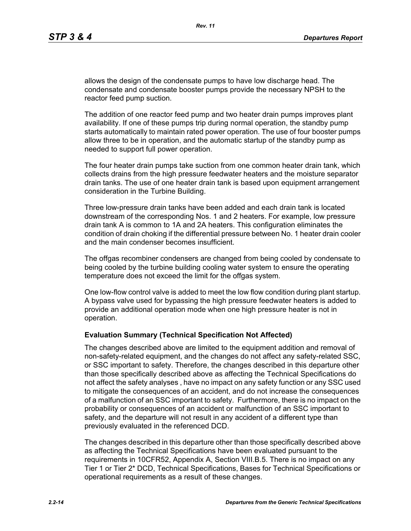allows the design of the condensate pumps to have low discharge head. The condensate and condensate booster pumps provide the necessary NPSH to the reactor feed pump suction.

The addition of one reactor feed pump and two heater drain pumps improves plant availability. If one of these pumps trip during normal operation, the standby pump starts automatically to maintain rated power operation. The use of four booster pumps allow three to be in operation, and the automatic startup of the standby pump as needed to support full power operation.

The four heater drain pumps take suction from one common heater drain tank, which collects drains from the high pressure feedwater heaters and the moisture separator drain tanks. The use of one heater drain tank is based upon equipment arrangement consideration in the Turbine Building.

Three low-pressure drain tanks have been added and each drain tank is located downstream of the corresponding Nos. 1 and 2 heaters. For example, low pressure drain tank A is common to 1A and 2A heaters. This configuration eliminates the condition of drain choking if the differential pressure between No. 1 heater drain cooler and the main condenser becomes insufficient.

The offgas recombiner condensers are changed from being cooled by condensate to being cooled by the turbine building cooling water system to ensure the operating temperature does not exceed the limit for the offgas system.

One low-flow control valve is added to meet the low flow condition during plant startup. A bypass valve used for bypassing the high pressure feedwater heaters is added to provide an additional operation mode when one high pressure heater is not in operation.

#### **Evaluation Summary (Technical Specification Not Affected)**

The changes described above are limited to the equipment addition and removal of non-safety-related equipment, and the changes do not affect any safety-related SSC, or SSC important to safety. Therefore, the changes described in this departure other than those specifically described above as affecting the Technical Specifications do not affect the safety analyses , have no impact on any safety function or any SSC used to mitigate the consequences of an accident, and do not increase the consequences of a malfunction of an SSC important to safety. Furthermore, there is no impact on the probability or consequences of an accident or malfunction of an SSC important to safety, and the departure will not result in any accident of a different type than previously evaluated in the referenced DCD.

The changes described in this departure other than those specifically described above as affecting the Technical Specifications have been evaluated pursuant to the requirements in 10CFR52, Appendix A, Section VIII.B.5. There is no impact on any Tier 1 or Tier 2\* DCD, Technical Specifications, Bases for Technical Specifications or operational requirements as a result of these changes.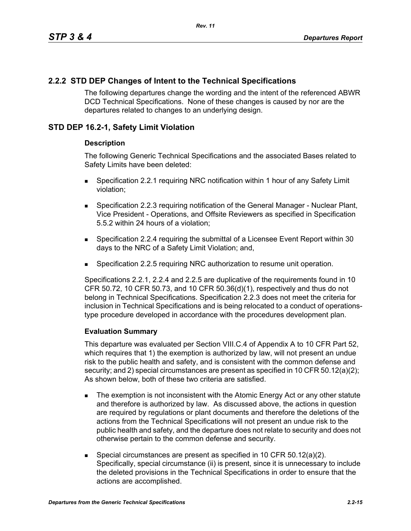## **2.2.2 STD DEP Changes of Intent to the Technical Specifications**

The following departures change the wording and the intent of the referenced ABWR DCD Technical Specifications. None of these changes is caused by nor are the departures related to changes to an underlying design.

## **STD DEP 16.2-1, Safety Limit Violation**

#### **Description**

The following Generic Technical Specifications and the associated Bases related to Safety Limits have been deleted:

- Specification 2.2.1 requiring NRC notification within 1 hour of any Safety Limit violation;
- **Specification 2.2.3 requiring notification of the General Manager Nuclear Plant,** Vice President - Operations, and Offsite Reviewers as specified in Specification 5.5.2 within 24 hours of a violation;
- Specification 2.2.4 requiring the submittal of a Licensee Event Report within 30 days to the NRC of a Safety Limit Violation; and,
- Specification 2.2.5 requiring NRC authorization to resume unit operation.

Specifications 2.2.1, 2.2.4 and 2.2.5 are duplicative of the requirements found in 10 CFR 50.72, 10 CFR 50.73, and 10 CFR 50.36(d)(1), respectively and thus do not belong in Technical Specifications. Specification 2.2.3 does not meet the criteria for inclusion in Technical Specifications and is being relocated to a conduct of operationstype procedure developed in accordance with the procedures development plan.

## **Evaluation Summary**

This departure was evaluated per Section VIII.C.4 of Appendix A to 10 CFR Part 52, which requires that 1) the exemption is authorized by law, will not present an undue risk to the public health and safety, and is consistent with the common defense and security; and 2) special circumstances are present as specified in 10 CFR 50.12(a)(2); As shown below, both of these two criteria are satisfied.

- The exemption is not inconsistent with the Atomic Energy Act or any other statute and therefore is authorized by law. As discussed above, the actions in question are required by regulations or plant documents and therefore the deletions of the actions from the Technical Specifications will not present an undue risk to the public health and safety, and the departure does not relate to security and does not otherwise pertain to the common defense and security.
- Special circumstances are present as specified in 10 CFR 50.12(a)(2). Specifically, special circumstance (ii) is present, since it is unnecessary to include the deleted provisions in the Technical Specifications in order to ensure that the actions are accomplished.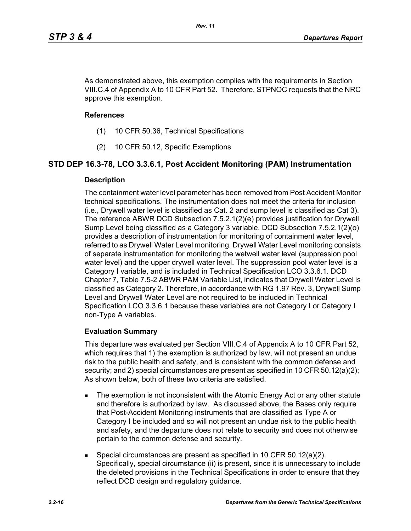As demonstrated above, this exemption complies with the requirements in Section VIII.C.4 of Appendix A to 10 CFR Part 52. Therefore, STPNOC requests that the NRC approve this exemption.

## **References**

- (1) 10 CFR 50.36, Technical Specifications
- (2) 10 CFR 50.12, Specific Exemptions

# **STD DEP 16.3-78, LCO 3.3.6.1, Post Accident Monitoring (PAM) Instrumentation**

## **Description**

The containment water level parameter has been removed from Post Accident Monitor technical specifications. The instrumentation does not meet the criteria for inclusion (i.e., Drywell water level is classified as Cat. 2 and sump level is classified as Cat 3). The reference ABWR DCD Subsection 7.5.2.1(2)(e) provides justification for Drywell Sump Level being classified as a Category 3 variable. DCD Subsection 7.5.2.1(2)(o) provides a description of instrumentation for monitoring of containment water level, referred to as Drywell Water Level monitoring. Drywell Water Level monitoring consists of separate instrumentation for monitoring the wetwell water level (suppression pool water level) and the upper drywell water level. The suppression pool water level is a Category I variable, and is included in Technical Specification LCO 3.3.6.1. DCD Chapter 7, Table 7.5-2 ABWR PAM Variable List, indicates that Drywell Water Level is classified as Category 2. Therefore, in accordance with RG 1.97 Rev. 3, Drywell Sump Level and Drywell Water Level are not required to be included in Technical Specification LCO 3.3.6.1 because these variables are not Category I or Category I non-Type A variables.

## **Evaluation Summary**

This departure was evaluated per Section VIII.C.4 of Appendix A to 10 CFR Part 52, which requires that 1) the exemption is authorized by law, will not present an undue risk to the public health and safety, and is consistent with the common defense and security; and 2) special circumstances are present as specified in 10 CFR 50.12(a)(2); As shown below, both of these two criteria are satisfied.

- The exemption is not inconsistent with the Atomic Energy Act or any other statute and therefore is authorized by law. As discussed above, the Bases only require that Post-Accident Monitoring instruments that are classified as Type A or Category I be included and so will not present an undue risk to the public health and safety, and the departure does not relate to security and does not otherwise pertain to the common defense and security.
- Special circumstances are present as specified in 10 CFR 50.12(a)(2). Specifically, special circumstance (ii) is present, since it is unnecessary to include the deleted provisions in the Technical Specifications in order to ensure that they reflect DCD design and regulatory guidance.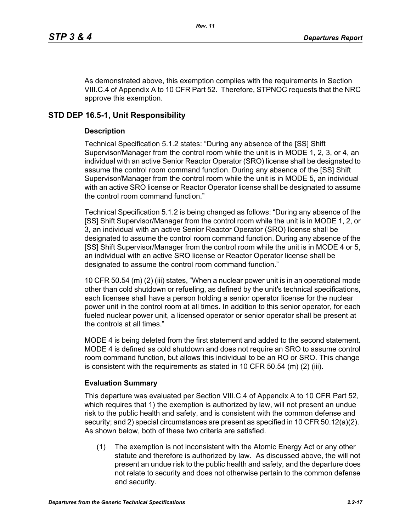As demonstrated above, this exemption complies with the requirements in Section VIII.C.4 of Appendix A to 10 CFR Part 52. Therefore, STPNOC requests that the NRC approve this exemption.

# **STD DEP 16.5-1, Unit Responsibility**

## **Description**

Technical Specification 5.1.2 states: "During any absence of the [SS] Shift Supervisor/Manager from the control room while the unit is in MODE 1, 2, 3, or 4, an individual with an active Senior Reactor Operator (SRO) license shall be designated to assume the control room command function. During any absence of the [SS] Shift Supervisor/Manager from the control room while the unit is in MODE 5, an individual with an active SRO license or Reactor Operator license shall be designated to assume the control room command function."

Technical Specification 5.1.2 is being changed as follows: "During any absence of the [SS] Shift Supervisor/Manager from the control room while the unit is in MODE 1, 2, or 3, an individual with an active Senior Reactor Operator (SRO) license shall be designated to assume the control room command function. During any absence of the [SS] Shift Supervisor/Manager from the control room while the unit is in MODE 4 or 5, an individual with an active SRO license or Reactor Operator license shall be designated to assume the control room command function."

10 CFR 50.54 (m) (2) (iii) states, "When a nuclear power unit is in an operational mode other than cold shutdown or refueling, as defined by the unit's technical specifications, each licensee shall have a person holding a senior operator license for the nuclear power unit in the control room at all times. In addition to this senior operator, for each fueled nuclear power unit, a licensed operator or senior operator shall be present at the controls at all times."

MODE 4 is being deleted from the first statement and added to the second statement. MODE 4 is defined as cold shutdown and does not require an SRO to assume control room command function, but allows this individual to be an RO or SRO. This change is consistent with the requirements as stated in 10 CFR 50.54  $(m)$  (2) (iii).

## **Evaluation Summary**

This departure was evaluated per Section VIII.C.4 of Appendix A to 10 CFR Part 52, which requires that 1) the exemption is authorized by law, will not present an undue risk to the public health and safety, and is consistent with the common defense and security; and 2) special circumstances are present as specified in 10 CFR 50.12(a)(2). As shown below, both of these two criteria are satisfied.

(1) The exemption is not inconsistent with the Atomic Energy Act or any other statute and therefore is authorized by law. As discussed above, the will not present an undue risk to the public health and safety, and the departure does not relate to security and does not otherwise pertain to the common defense and security.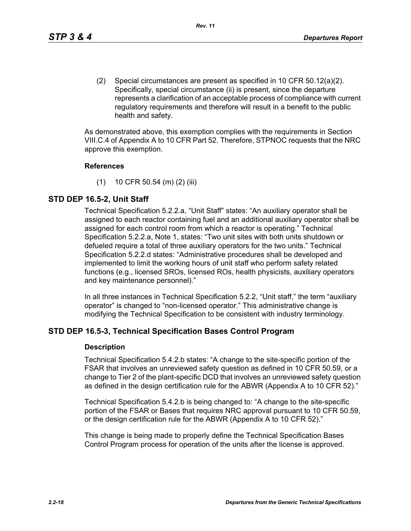(2) Special circumstances are present as specified in 10 CFR 50.12(a)(2). Specifically, special circumstance (ii) is present, since the departure represents a clarification of an acceptable process of compliance with current regulatory requirements and therefore will result in a benefit to the public health and safety.

As demonstrated above, this exemption complies with the requirements in Section VIII.C.4 of Appendix A to 10 CFR Part 52. Therefore, STPNOC requests that the NRC approve this exemption.

#### **References**

(1) 10 CFR 50.54 (m) (2) (iii)

## **STD DEP 16.5-2, Unit Staff**

Technical Specification 5.2.2.a, "Unit Staff" states: "An auxiliary operator shall be assigned to each reactor containing fuel and an additional auxiliary operator shall be assigned for each control room from which a reactor is operating." Technical Specification 5.2.2.a, Note 1, states: "Two unit sites with both units shutdown or defueled require a total of three auxiliary operators for the two units." Technical Specification 5.2.2.d states: "Administrative procedures shall be developed and implemented to limit the working hours of unit staff who perform safety related functions (e.g., licensed SROs, licensed ROs, health physicists, auxiliary operators and key maintenance personnel)."

In all three instances in Technical Specification 5.2.2, "Unit staff," the term "auxiliary operator" is changed to "non-licensed operator." This administrative change is modifying the Technical Specification to be consistent with industry terminology.

## **STD DEP 16.5-3, Technical Specification Bases Control Program**

#### **Description**

Technical Specification 5.4.2.b states: "A change to the site-specific portion of the FSAR that involves an unreviewed safety question as defined in 10 CFR 50.59, or a change to Tier 2 of the plant-specific DCD that involves an unreviewed safety question as defined in the design certification rule for the ABWR (Appendix A to 10 CFR 52)."

Technical Specification 5.4.2.b is being changed to: "A change to the site-specific portion of the FSAR or Bases that requires NRC approval pursuant to 10 CFR 50.59, or the design certification rule for the ABWR (Appendix A to 10 CFR 52)."

This change is being made to properly define the Technical Specification Bases Control Program process for operation of the units after the license is approved.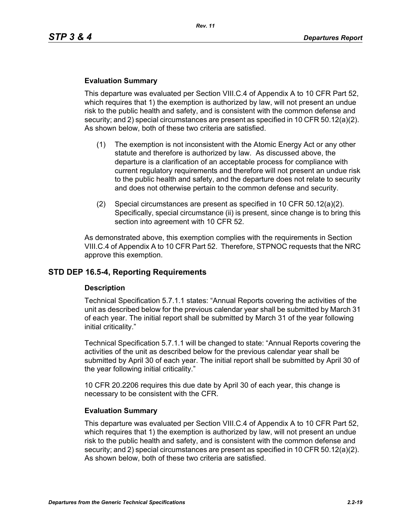#### **Evaluation Summary**

This departure was evaluated per Section VIII.C.4 of Appendix A to 10 CFR Part 52, which requires that 1) the exemption is authorized by law, will not present an undue risk to the public health and safety, and is consistent with the common defense and security; and 2) special circumstances are present as specified in 10 CFR 50.12(a)(2). As shown below, both of these two criteria are satisfied.

- (1) The exemption is not inconsistent with the Atomic Energy Act or any other statute and therefore is authorized by law. As discussed above, the departure is a clarification of an acceptable process for compliance with current regulatory requirements and therefore will not present an undue risk to the public health and safety, and the departure does not relate to security and does not otherwise pertain to the common defense and security.
- (2) Special circumstances are present as specified in 10 CFR 50.12(a)(2). Specifically, special circumstance (ii) is present, since change is to bring this section into agreement with 10 CFR 52.

As demonstrated above, this exemption complies with the requirements in Section VIII.C.4 of Appendix A to 10 CFR Part 52. Therefore, STPNOC requests that the NRC approve this exemption.

## **STD DEP 16.5-4, Reporting Requirements**

#### **Description**

Technical Specification 5.7.1.1 states: "Annual Reports covering the activities of the unit as described below for the previous calendar year shall be submitted by March 31 of each year. The initial report shall be submitted by March 31 of the year following initial criticality."

Technical Specification 5.7.1.1 will be changed to state: "Annual Reports covering the activities of the unit as described below for the previous calendar year shall be submitted by April 30 of each year. The initial report shall be submitted by April 30 of the year following initial criticality."

10 CFR 20.2206 requires this due date by April 30 of each year, this change is necessary to be consistent with the CFR.

#### **Evaluation Summary**

This departure was evaluated per Section VIII.C.4 of Appendix A to 10 CFR Part 52, which requires that 1) the exemption is authorized by law, will not present an undue risk to the public health and safety, and is consistent with the common defense and security; and 2) special circumstances are present as specified in 10 CFR 50.12(a)(2). As shown below, both of these two criteria are satisfied.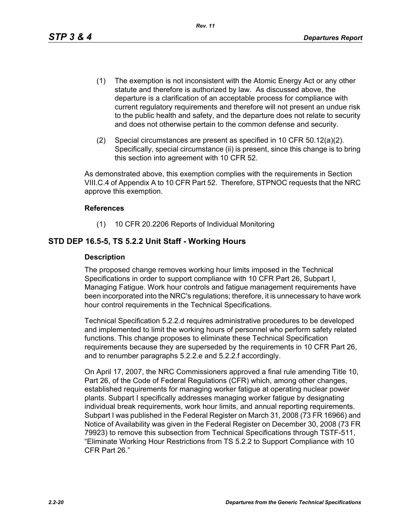- (1) The exemption is not inconsistent with the Atomic Energy Act or any other statute and therefore is authorized by law. As discussed above, the departure is a clarification of an acceptable process for compliance with current regulatory requirements and therefore will not present an undue risk to the public health and safety, and the departure does not relate to security and does not otherwise pertain to the common defense and security.
- (2) Special circumstances are present as specified in 10 CFR 50.12(a)(2). Specifically, special circumstance (ii) is present, since this change is to bring this section into agreement with 10 CFR 52.

As demonstrated above, this exemption complies with the requirements in Section VIII.C.4 of Appendix A to 10 CFR Part 52. Therefore, STPNOC requests that the NRC approve this exemption.

#### **References**

(1) 10 CFR 20.2206 Reports of Individual Monitoring

## **STD DEP 16.5-5, TS 5.2.2 Unit Staff - Working Hours**

#### **Description**

The proposed change removes working hour limits imposed in the Technical Specifications in order to support compliance with 10 CFR Part 26, Subpart I, Managing Fatigue. Work hour controls and fatigue management requirements have been incorporated into the NRC's regulations; therefore, it is unnecessary to have work hour control requirements in the Technical Specifications.

Technical Specification 5.2.2.d requires administrative procedures to be developed and implemented to limit the working hours of personnel who perform safety related functions. This change proposes to eliminate these Technical Specification requirements because they are superseded by the requirements in 10 CFR Part 26, and to renumber paragraphs 5.2.2.e and 5.2.2.f accordingly.

On April 17, 2007, the NRC Commissioners approved a final rule amending Title 10, Part 26, of the Code of Federal Regulations (CFR) which, among other changes, established requirements for managing worker fatigue at operating nuclear power plants. Subpart I specifically addresses managing worker fatigue by designating individual break requirements, work hour limits, and annual reporting requirements. Subpart I was published in the Federal Register on March 31, 2008 (73 FR 16966) and Notice of Availability was given in the Federal Register on December 30, 2008 (73 FR 79923) to remove this subsection from Technical Specifications through TSTF-511, "Eliminate Working Hour Restrictions from TS 5.2.2 to Support Compliance with 10 CFR Part 26."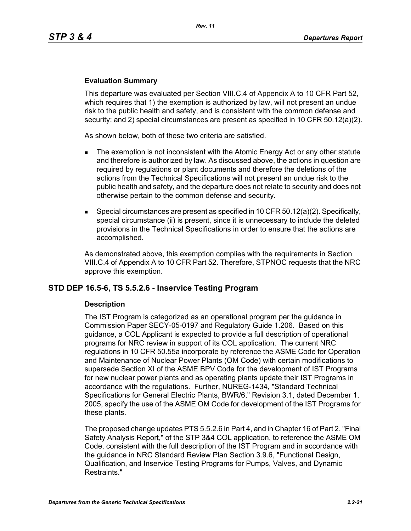#### **Evaluation Summary**

This departure was evaluated per Section VIII.C.4 of Appendix A to 10 CFR Part 52, which requires that 1) the exemption is authorized by law, will not present an undue risk to the public health and safety, and is consistent with the common defense and security; and 2) special circumstances are present as specified in 10 CFR 50.12(a)(2).

As shown below, both of these two criteria are satisfied.

- The exemption is not inconsistent with the Atomic Energy Act or any other statute and therefore is authorized by law. As discussed above, the actions in question are required by regulations or plant documents and therefore the deletions of the actions from the Technical Specifications will not present an undue risk to the public health and safety, and the departure does not relate to security and does not otherwise pertain to the common defense and security.
- **Special circumstances are present as specified in 10 CFR 50.12(a)(2). Specifically,** special circumstance (ii) is present, since it is unnecessary to include the deleted provisions in the Technical Specifications in order to ensure that the actions are accomplished.

As demonstrated above, this exemption complies with the requirements in Section VIII.C.4 of Appendix A to 10 CFR Part 52. Therefore, STPNOC requests that the NRC approve this exemption.

## **STD DEP 16.5-6, TS 5.5.2.6 - Inservice Testing Program**

#### **Description**

The IST Program is categorized as an operational program per the guidance in Commission Paper SECY-05-0197 and Regulatory Guide 1.206. Based on this guidance, a COL Applicant is expected to provide a full description of operational programs for NRC review in support of its COL application. The current NRC regulations in 10 CFR 50.55a incorporate by reference the ASME Code for Operation and Maintenance of Nuclear Power Plants (OM Code) with certain modifications to supersede Section XI of the ASME BPV Code for the development of IST Programs for new nuclear power plants and as operating plants update their IST Programs in accordance with the regulations. Further, NUREG-1434, "Standard Technical Specifications for General Electric Plants, BWR/6," Revision 3.1, dated December 1, 2005, specify the use of the ASME OM Code for development of the IST Programs for these plants.

The proposed change updates PTS 5.5.2.6 in Part 4, and in Chapter 16 of Part 2, "Final Safety Analysis Report," of the STP 3&4 COL application, to reference the ASME OM Code, consistent with the full description of the IST Program and in accordance with the guidance in NRC Standard Review Plan Section 3.9.6, "Functional Design, Qualification, and Inservice Testing Programs for Pumps, Valves, and Dynamic Restraints."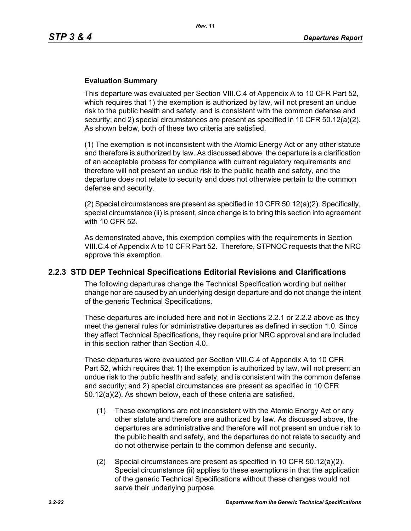#### **Evaluation Summary**

This departure was evaluated per Section VIII.C.4 of Appendix A to 10 CFR Part 52, which requires that 1) the exemption is authorized by law, will not present an undue risk to the public health and safety, and is consistent with the common defense and security; and 2) special circumstances are present as specified in 10 CFR 50.12(a)(2). As shown below, both of these two criteria are satisfied.

(1) The exemption is not inconsistent with the Atomic Energy Act or any other statute and therefore is authorized by law. As discussed above, the departure is a clarification of an acceptable process for compliance with current regulatory requirements and therefore will not present an undue risk to the public health and safety, and the departure does not relate to security and does not otherwise pertain to the common defense and security.

(2) Special circumstances are present as specified in 10 CFR  $50.12(a)(2)$ . Specifically, special circumstance (ii) is present, since change is to bring this section into agreement with 10 CFR 52.

As demonstrated above, this exemption complies with the requirements in Section VIII.C.4 of Appendix A to 10 CFR Part 52. Therefore, STPNOC requests that the NRC approve this exemption.

## **2.2.3 STD DEP Technical Specifications Editorial Revisions and Clarifications**

The following departures change the Technical Specification wording but neither change nor are caused by an underlying design departure and do not change the intent of the generic Technical Specifications.

These departures are included here and not in Sections 2.2.1 or 2.2.2 above as they meet the general rules for administrative departures as defined in section 1.0. Since they affect Technical Specifications, they require prior NRC approval and are included in this section rather than Section 4.0.

These departures were evaluated per Section VIII.C.4 of Appendix A to 10 CFR Part 52, which requires that 1) the exemption is authorized by law, will not present an undue risk to the public health and safety, and is consistent with the common defense and security; and 2) special circumstances are present as specified in 10 CFR 50.12(a)(2). As shown below, each of these criteria are satisfied.

- (1) These exemptions are not inconsistent with the Atomic Energy Act or any other statute and therefore are authorized by law. As discussed above, the departures are administrative and therefore will not present an undue risk to the public health and safety, and the departures do not relate to security and do not otherwise pertain to the common defense and security.
- (2) Special circumstances are present as specified in 10 CFR 50.12(a)(2). Special circumstance (ii) applies to these exemptions in that the application of the generic Technical Specifications without these changes would not serve their underlying purpose.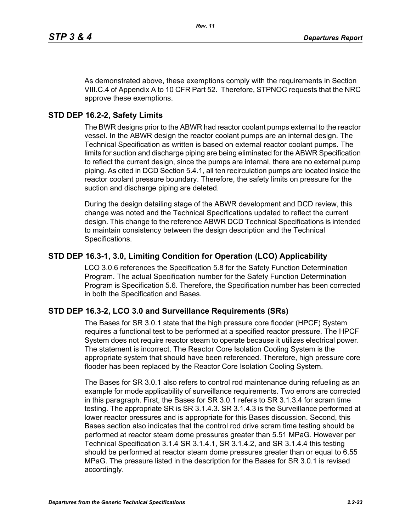As demonstrated above, these exemptions comply with the requirements in Section VIII.C.4 of Appendix A to 10 CFR Part 52. Therefore, STPNOC requests that the NRC approve these exemptions.

# **STD DEP 16.2-2, Safety Limits**

The BWR designs prior to the ABWR had reactor coolant pumps external to the reactor vessel. In the ABWR design the reactor coolant pumps are an internal design. The Technical Specification as written is based on external reactor coolant pumps. The limits for suction and discharge piping are being eliminated for the ABWR Specification to reflect the current design, since the pumps are internal, there are no external pump piping. As cited in DCD Section 5.4.1, all ten recirculation pumps are located inside the reactor coolant pressure boundary. Therefore, the safety limits on pressure for the suction and discharge piping are deleted.

During the design detailing stage of the ABWR development and DCD review, this change was noted and the Technical Specifications updated to reflect the current design. This change to the reference ABWR DCD Technical Specifications is intended to maintain consistency between the design description and the Technical Specifications.

# **STD DEP 16.3-1, 3.0, Limiting Condition for Operation (LCO) Applicability**

LCO 3.0.6 references the Specification 5.8 for the Safety Function Determination Program. The actual Specification number for the Safety Function Determination Program is Specification 5.6. Therefore, the Specification number has been corrected in both the Specification and Bases.

# **STD DEP 16.3-2, LCO 3.0 and Surveillance Requirements (SRs)**

The Bases for SR 3.0.1 state that the high pressure core flooder (HPCF) System requires a functional test to be performed at a specified reactor pressure. The HPCF System does not require reactor steam to operate because it utilizes electrical power. The statement is incorrect. The Reactor Core Isolation Cooling System is the appropriate system that should have been referenced. Therefore, high pressure core flooder has been replaced by the Reactor Core Isolation Cooling System.

The Bases for SR 3.0.1 also refers to control rod maintenance during refueling as an example for mode applicability of surveillance requirements. Two errors are corrected in this paragraph. First, the Bases for SR 3.0.1 refers to SR 3.1.3.4 for scram time testing. The appropriate SR is SR 3.1.4.3. SR 3.1.4.3 is the Surveillance performed at lower reactor pressures and is appropriate for this Bases discussion. Second, this Bases section also indicates that the control rod drive scram time testing should be performed at reactor steam dome pressures greater than 5.51 MPaG. However per Technical Specification 3.1.4 SR 3.1.4.1, SR 3.1.4.2, and SR 3.1.4.4 this testing should be performed at reactor steam dome pressures greater than or equal to 6.55 MPaG. The pressure listed in the description for the Bases for SR 3.0.1 is revised accordingly.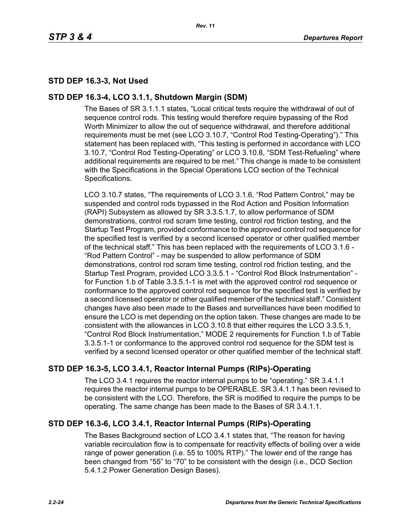# **STD DEP 16.3-3, Not Used**

## **STD DEP 16.3-4, LCO 3.1.1, Shutdown Margin (SDM)**

The Bases of SR 3.1.1.1 states, "Local critical tests require the withdrawal of out of sequence control rods. This testing would therefore require bypassing of the Rod Worth Minimizer to allow the out of sequence withdrawal, and therefore additional requirements must be met (see LCO 3.10.7, "Control Rod Testing-Operating")." This statement has been replaced with, "This testing is performed in accordance with LCO 3.10.7, "Control Rod Testing-Operating" or LCO 3.10.8, "SDM Test-Refueling" where additional requirements are required to be met." This change is made to be consistent with the Specifications in the Special Operations LCO section of the Technical Specifications.

LCO 3.10.7 states, "The requirements of LCO 3.1.6, "Rod Pattern Control," may be suspended and control rods bypassed in the Rod Action and Position Information (RAPI) Subsystem as allowed by SR 3.3.5.1.7, to allow performance of SDM demonstrations, control rod scram time testing, control rod friction testing, and the Startup Test Program, provided conformance to the approved control rod sequence for the specified test is verified by a second licensed operator or other qualified member of the technical staff." This has been replaced with the requirements of LCO 3.1.6 - "Rod Pattern Control" - may be suspended to allow performance of SDM demonstrations, control rod scram time testing, control rod friction testing, and the Startup Test Program, provided LCO 3.3.5.1 - "Control Rod Block Instrumentation" for Function 1.b of Table 3.3.5.1-1 is met with the approved control rod sequence or conformance to the approved control rod sequence for the specified test is verified by a second licensed operator or other qualified member of the technical staff." Consistent changes have also been made to the Bases and surveillances have been modified to ensure the LCO is met depending on the option taken. These changes are made to be consistent with the allowances in LCO 3.10.8 that either requires the LCO 3.3.5.1, "Control Rod Block Instrumentation," MODE 2 requirements for Function 1.b of Table 3.3.5.1-1 or conformance to the approved control rod sequence for the SDM test is verified by a second licensed operator or other qualified member of the technical staff.

# **STD DEP 16.3-5, LCO 3.4.1, Reactor Internal Pumps (RIPs)-Operating**

The LCO 3.4.1 requires the reactor internal pumps to be "operating." SR 3.4.1.1 requires the reactor internal pumps to be OPERABLE. SR 3.4.1.1 has been revised to be consistent with the LCO. Therefore, the SR is modified to require the pumps to be operating. The same change has been made to the Bases of SR 3.4.1.1.

## **STD DEP 16.3-6, LCO 3.4.1, Reactor Internal Pumps (RIPs)-Operating**

The Bases Background section of LCO 3.4.1 states that, "The reason for having variable recirculation flow is to compensate for reactivity effects of boiling over a wide range of power generation (i.e. 55 to 100% RTP)." The lower end of the range has been changed from "55" to "70" to be consistent with the design (i.e., DCD Section 5.4.1.2 Power Generation Design Bases).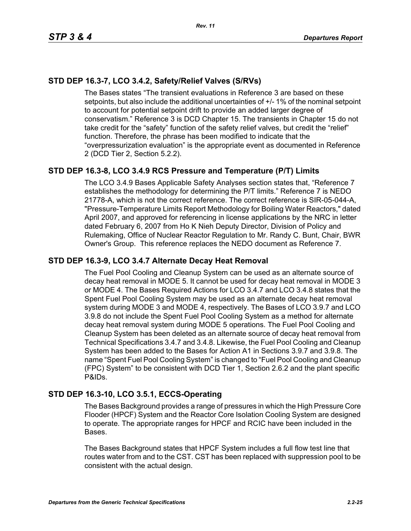# **STD DEP 16.3-7, LCO 3.4.2, Safety/Relief Valves (S/RVs)**

The Bases states "The transient evaluations in Reference 3 are based on these setpoints, but also include the additional uncertainties of +/- 1% of the nominal setpoint to account for potential setpoint drift to provide an added larger degree of conservatism." Reference 3 is DCD Chapter 15. The transients in Chapter 15 do not take credit for the "safety" function of the safety relief valves, but credit the "relief" function. Therefore, the phrase has been modified to indicate that the "overpressurization evaluation" is the appropriate event as documented in Reference 2 (DCD Tier 2, Section 5.2.2).

# **STD DEP 16.3-8, LCO 3.4.9 RCS Pressure and Temperature (P/T) Limits**

The LCO 3.4.9 Bases Applicable Safety Analyses section states that, "Reference 7 establishes the methodology for determining the P/T limits." Reference 7 is NEDO 21778-A, which is not the correct reference. The correct reference is SIR-05-044-A, "Pressure-Temperature Limits Report Methodology for Boiling Water Reactors," dated April 2007, and approved for referencing in license applications by the NRC in letter dated February 6, 2007 from Ho K Nieh Deputy Director, Division of Policy and Rulemaking, Office of Nuclear Reactor Regulation to Mr. Randy C. Bunt, Chair, BWR Owner's Group. This reference replaces the NEDO document as Reference 7.

## **STD DEP 16.3-9, LCO 3.4.7 Alternate Decay Heat Removal**

The Fuel Pool Cooling and Cleanup System can be used as an alternate source of decay heat removal in MODE 5. It cannot be used for decay heat removal in MODE 3 or MODE 4. The Bases Required Actions for LCO 3.4.7 and LCO 3.4.8 states that the Spent Fuel Pool Cooling System may be used as an alternate decay heat removal system during MODE 3 and MODE 4, respectively. The Bases of LCO 3.9.7 and LCO 3.9.8 do not include the Spent Fuel Pool Cooling System as a method for alternate decay heat removal system during MODE 5 operations. The Fuel Pool Cooling and Cleanup System has been deleted as an alternate source of decay heat removal from Technical Specifications 3.4.7 and 3.4.8. Likewise, the Fuel Pool Cooling and Cleanup System has been added to the Bases for Action A1 in Sections 3.9.7 and 3.9.8. The name "Spent Fuel Pool Cooling System" is changed to "Fuel Pool Cooling and Cleanup (FPC) System" to be consistent with DCD Tier 1, Section 2.6.2 and the plant specific P&IDs.

## **STD DEP 16.3-10, LCO 3.5.1, ECCS-Operating**

The Bases Background provides a range of pressures in which the High Pressure Core Flooder (HPCF) System and the Reactor Core Isolation Cooling System are designed to operate. The appropriate ranges for HPCF and RCIC have been included in the Bases.

The Bases Background states that HPCF System includes a full flow test line that routes water from and to the CST. CST has been replaced with suppression pool to be consistent with the actual design.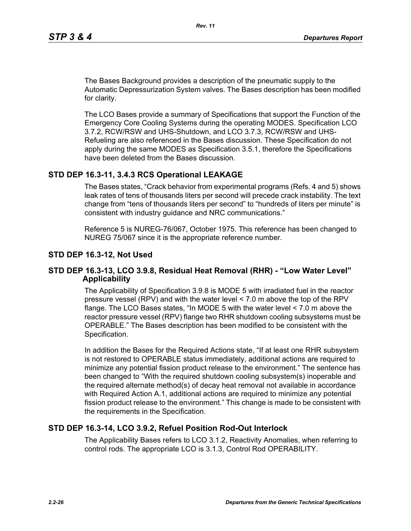The Bases Background provides a description of the pneumatic supply to the Automatic Depressurization System valves. The Bases description has been modified for clarity.

The LCO Bases provide a summary of Specifications that support the Function of the Emergency Core Cooling Systems during the operating MODES. Specification LCO 3.7.2, RCW/RSW and UHS-Shutdown, and LCO 3.7.3, RCW/RSW and UHS-Refueling are also referenced in the Bases discussion. These Specification do not apply during the same MODES as Specification 3.5.1, therefore the Specifications have been deleted from the Bases discussion.

## **STD DEP 16.3-11, 3.4.3 RCS Operational LEAKAGE**

The Bases states, "Crack behavior from experimental programs (Refs. 4 and 5) shows leak rates of tens of thousands liters per second will precede crack instability. The text change from "tens of thousands liters per second" to "hundreds of liters per minute" is consistent with industry guidance and NRC communications."

Reference 5 is NUREG-76/067, October 1975. This reference has been changed to NUREG 75/067 since it is the appropriate reference number.

#### **STD DEP 16.3-12, Not Used**

#### **STD DEP 16.3-13, LCO 3.9.8, Residual Heat Removal (RHR) - "Low Water Level" Applicability**

The Applicability of Specification 3.9.8 is MODE 5 with irradiated fuel in the reactor pressure vessel (RPV) and with the water level < 7.0 m above the top of the RPV flange. The LCO Bases states, "In MODE 5 with the water level < 7.0 m above the reactor pressure vessel (RPV) flange two RHR shutdown cooling subsystems must be OPERABLE." The Bases description has been modified to be consistent with the Specification.

In addition the Bases for the Required Actions state, "If at least one RHR subsystem is not restored to OPERABLE status immediately, additional actions are required to minimize any potential fission product release to the environment." The sentence has been changed to "With the required shutdown cooling subsystem(s) inoperable and the required alternate method(s) of decay heat removal not available in accordance with Required Action A.1, additional actions are required to minimize any potential fission product release to the environment." This change is made to be consistent with the requirements in the Specification.

#### **STD DEP 16.3-14, LCO 3.9.2, Refuel Position Rod-Out Interlock**

The Applicability Bases refers to LCO 3.1.2, Reactivity Anomalies, when referring to control rods. The appropriate LCO is 3.1.3, Control Rod OPERABILITY.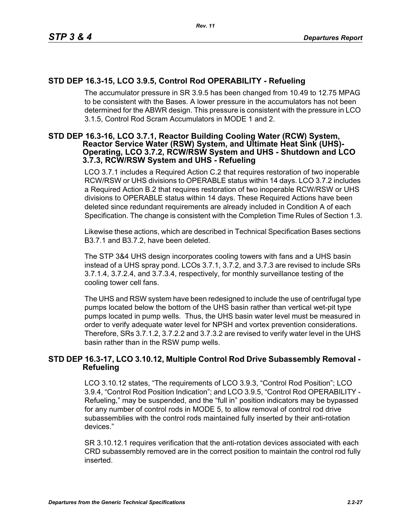# **STD DEP 16.3-15, LCO 3.9.5, Control Rod OPERABILITY - Refueling**

The accumulator pressure in SR 3.9.5 has been changed from 10.49 to 12.75 MPAG to be consistent with the Bases. A lower pressure in the accumulators has not been determined for the ABWR design. This pressure is consistent with the pressure in LCO 3.1.5, Control Rod Scram Accumulators in MODE 1 and 2.

#### **STD DEP 16.3-16, LCO 3.7.1, Reactor Building Cooling Water (RCW) System, Reactor Service Water (RSW) System, and Ultimate Heat Sink (UHS)- Operating, LCO 3.7.2, RCW/RSW System and UHS - Shutdown and LCO 3.7.3, RCW/RSW System and UHS - Refueling**

LCO 3.7.1 includes a Required Action C.2 that requires restoration of two inoperable RCW/RSW or UHS divisions to OPERABLE status within 14 days. LCO 3.7.2 includes a Required Action B.2 that requires restoration of two inoperable RCW/RSW or UHS divisions to OPERABLE status within 14 days. These Required Actions have been deleted since redundant requirements are already included in Condition A of each Specification. The change is consistent with the Completion Time Rules of Section 1.3.

Likewise these actions, which are described in Technical Specification Bases sections B3.7.1 and B3.7.2, have been deleted.

The STP 3&4 UHS design incorporates cooling towers with fans and a UHS basin instead of a UHS spray pond. LCOs 3.7.1, 3.7.2, and 3.7.3 are revised to include SRs 3.7.1.4, 3.7.2.4, and 3.7.3.4, respectively, for monthly surveillance testing of the cooling tower cell fans.

The UHS and RSW system have been redesigned to include the use of centrifugal type pumps located below the bottom of the UHS basin rather than vertical wet-pit type pumps located in pump wells. Thus, the UHS basin water level must be measured in order to verify adequate water level for NPSH and vortex prevention considerations. Therefore, SRs 3.7.1.2, 3.7.2.2 and 3.7.3.2 are revised to verify water level in the UHS basin rather than in the RSW pump wells.

## **STD DEP 16.3-17, LCO 3.10.12, Multiple Control Rod Drive Subassembly Removal - Refueling**

LCO 3.10.12 states, "The requirements of LCO 3.9.3, "Control Rod Position"; LCO 3.9.4, "Control Rod Position Indication"; and LCO 3.9.5, "Control Rod OPERABILITY - Refueling," may be suspended, and the "full in" position indicators may be bypassed for any number of control rods in MODE 5, to allow removal of control rod drive subassemblies with the control rods maintained fully inserted by their anti-rotation devices."

SR 3.10.12.1 requires verification that the anti-rotation devices associated with each CRD subassembly removed are in the correct position to maintain the control rod fully inserted.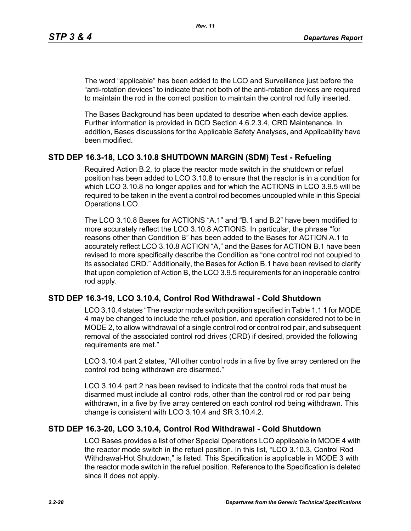The word "applicable" has been added to the LCO and Surveillance just before the "anti-rotation devices" to indicate that not both of the anti-rotation devices are required to maintain the rod in the correct position to maintain the control rod fully inserted.

The Bases Background has been updated to describe when each device applies. Further information is provided in DCD Section 4.6.2.3.4, CRD Maintenance. In addition, Bases discussions for the Applicable Safety Analyses, and Applicability have been modified.

## **STD DEP 16.3-18, LCO 3.10.8 SHUTDOWN MARGIN (SDM) Test - Refueling**

Required Action B.2, to place the reactor mode switch in the shutdown or refuel position has been added to LCO 3.10.8 to ensure that the reactor is in a condition for which LCO 3.10.8 no longer applies and for which the ACTIONS in LCO 3.9.5 will be required to be taken in the event a control rod becomes uncoupled while in this Special Operations LCO.

The LCO 3.10.8 Bases for ACTIONS "A.1" and "B.1 and B.2" have been modified to more accurately reflect the LCO 3.10.8 ACTIONS. In particular, the phrase "for reasons other than Condition B" has been added to the Bases for ACTION A.1 to accurately reflect LCO 3.10.8 ACTION "A," and the Bases for ACTION B.1 have been revised to more specifically describe the Condition as "one control rod not coupled to its associated CRD." Additionally, the Bases for Action B.1 have been revised to clarify that upon completion of Action B, the LCO 3.9.5 requirements for an inoperable control rod apply.

## **STD DEP 16.3-19, LCO 3.10.4, Control Rod Withdrawal - Cold Shutdown**

LCO 3.10.4 states "The reactor mode switch position specified in Table 1.1 1 for MODE 4 may be changed to include the refuel position, and operation considered not to be in MODE 2, to allow withdrawal of a single control rod or control rod pair, and subsequent removal of the associated control rod drives (CRD) if desired, provided the following requirements are met."

LCO 3.10.4 part 2 states, "All other control rods in a five by five array centered on the control rod being withdrawn are disarmed."

LCO 3.10.4 part 2 has been revised to indicate that the control rods that must be disarmed must include all control rods, other than the control rod or rod pair being withdrawn, in a five by five array centered on each control rod being withdrawn. This change is consistent with LCO 3.10.4 and SR 3.10.4.2.

## **STD DEP 16.3-20, LCO 3.10.4, Control Rod Withdrawal - Cold Shutdown**

LCO Bases provides a list of other Special Operations LCO applicable in MODE 4 with the reactor mode switch in the refuel position. In this list, "LCO 3.10.3, Control Rod Withdrawal-Hot Shutdown," is listed. This Specification is applicable in MODE 3 with the reactor mode switch in the refuel position. Reference to the Specification is deleted since it does not apply.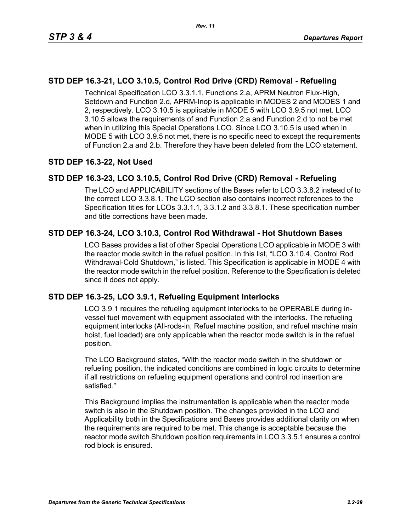## **STD DEP 16.3-21, LCO 3.10.5, Control Rod Drive (CRD) Removal - Refueling**

Technical Specification LCO 3.3.1.1, Functions 2.a, APRM Neutron Flux-High, Setdown and Function 2.d, APRM-Inop is applicable in MODES 2 and MODES 1 and 2, respectively. LCO 3.10.5 is applicable in MODE 5 with LCO 3.9.5 not met. LCO 3.10.5 allows the requirements of and Function 2.a and Function 2.d to not be met when in utilizing this Special Operations LCO. Since LCO 3.10.5 is used when in MODE 5 with LCO 3.9.5 not met, there is no specific need to except the requirements of Function 2.a and 2.b. Therefore they have been deleted from the LCO statement.

## **STD DEP 16.3-22, Not Used**

## **STD DEP 16.3-23, LCO 3.10.5, Control Rod Drive (CRD) Removal - Refueling**

The LCO and APPLICABILITY sections of the Bases refer to LCO 3.3.8.2 instead of to the correct LCO 3.3.8.1. The LCO section also contains incorrect references to the Specification titles for LCOs 3.3.1.1, 3.3.1.2 and 3.3.8.1. These specification number and title corrections have been made.

## **STD DEP 16.3-24, LCO 3.10.3, Control Rod Withdrawal - Hot Shutdown Bases**

LCO Bases provides a list of other Special Operations LCO applicable in MODE 3 with the reactor mode switch in the refuel position. In this list, "LCO 3.10.4, Control Rod Withdrawal-Cold Shutdown," is listed. This Specification is applicable in MODE 4 with the reactor mode switch in the refuel position. Reference to the Specification is deleted since it does not apply.

## **STD DEP 16.3-25, LCO 3.9.1, Refueling Equipment Interlocks**

LCO 3.9.1 requires the refueling equipment interlocks to be OPERABLE during invessel fuel movement with equipment associated with the interlocks. The refueling equipment interlocks (All-rods-in, Refuel machine position, and refuel machine main hoist, fuel loaded) are only applicable when the reactor mode switch is in the refuel position.

The LCO Background states, "With the reactor mode switch in the shutdown or refueling position, the indicated conditions are combined in logic circuits to determine if all restrictions on refueling equipment operations and control rod insertion are satisfied."

This Background implies the instrumentation is applicable when the reactor mode switch is also in the Shutdown position. The changes provided in the LCO and Applicability both in the Specifications and Bases provides additional clarity on when the requirements are required to be met. This change is acceptable because the reactor mode switch Shutdown position requirements in LCO 3.3.5.1 ensures a control rod block is ensured.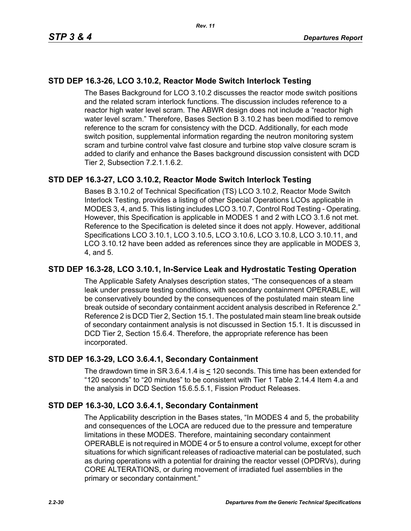# **STD DEP 16.3-26, LCO 3.10.2, Reactor Mode Switch Interlock Testing**

The Bases Background for LCO 3.10.2 discusses the reactor mode switch positions and the related scram interlock functions. The discussion includes reference to a reactor high water level scram. The ABWR design does not include a "reactor high water level scram." Therefore, Bases Section B 3.10.2 has been modified to remove reference to the scram for consistency with the DCD. Additionally, for each mode switch position, supplemental information regarding the neutron monitoring system scram and turbine control valve fast closure and turbine stop valve closure scram is added to clarify and enhance the Bases background discussion consistent with DCD Tier 2, Subsection 7.2.1.1.6.2.

## **STD DEP 16.3-27, LCO 3.10.2, Reactor Mode Switch Interlock Testing**

Bases B 3.10.2 of Technical Specification (TS) LCO 3.10.2, Reactor Mode Switch Interlock Testing, provides a listing of other Special Operations LCOs applicable in MODES 3, 4, and 5. This listing includes LCO 3.10.7, Control Rod Testing - Operating. However, this Specification is applicable in MODES 1 and 2 with LCO 3.1.6 not met. Reference to the Specification is deleted since it does not apply. However, additional Specifications LCO 3.10.1, LCO 3.10.5, LCO 3.10.6, LCO 3.10.8, LCO 3.10.11, and LCO 3.10.12 have been added as references since they are applicable in MODES 3, 4, and 5.

## **STD DEP 16.3-28, LCO 3.10.1, In-Service Leak and Hydrostatic Testing Operation**

The Applicable Safety Analyses description states, "The consequences of a steam leak under pressure testing conditions, with secondary containment OPERABLE, will be conservatively bounded by the consequences of the postulated main steam line break outside of secondary containment accident analysis described in Reference 2." Reference 2 is DCD Tier 2, Section 15.1. The postulated main steam line break outside of secondary containment analysis is not discussed in Section 15.1. It is discussed in DCD Tier 2, Section 15.6.4. Therefore, the appropriate reference has been incorporated.

## **STD DEP 16.3-29, LCO 3.6.4.1, Secondary Containment**

The drawdown time in SR 3.6.4.1.4 is < 120 seconds. This time has been extended for "120 seconds" to "20 minutes" to be consistent with Tier 1 Table 2.14.4 Item 4.a and the analysis in DCD Section 15.6.5.5.1, Fission Product Releases.

## **STD DEP 16.3-30, LCO 3.6.4.1, Secondary Containment**

The Applicability description in the Bases states, "In MODES 4 and 5, the probability and consequences of the LOCA are reduced due to the pressure and temperature limitations in these MODES. Therefore, maintaining secondary containment OPERABLE is not required in MODE 4 or 5 to ensure a control volume, except for other situations for which significant releases of radioactive material can be postulated, such as during operations with a potential for draining the reactor vessel (OPDRVs), during CORE ALTERATIONS, or during movement of irradiated fuel assemblies in the primary or secondary containment."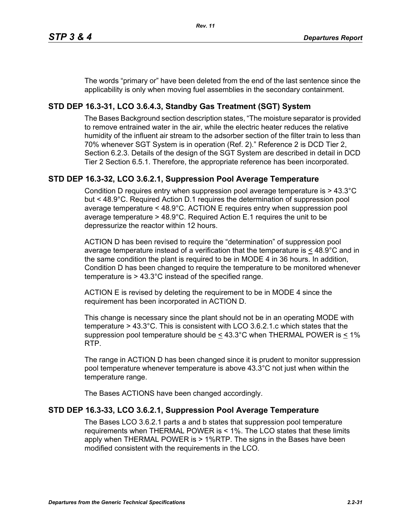The words "primary or" have been deleted from the end of the last sentence since the applicability is only when moving fuel assemblies in the secondary containment.

# **STD DEP 16.3-31, LCO 3.6.4.3, Standby Gas Treatment (SGT) System**

The Bases Background section description states, "The moisture separator is provided to remove entrained water in the air, while the electric heater reduces the relative humidity of the influent air stream to the adsorber section of the filter train to less than 70% whenever SGT System is in operation (Ref. 2)." Reference 2 is DCD Tier 2, Section 6.2.3. Details of the design of the SGT System are described in detail in DCD Tier 2 Section 6.5.1. Therefore, the appropriate reference has been incorporated.

## **STD DEP 16.3-32, LCO 3.6.2.1, Suppression Pool Average Temperature**

Condition D requires entry when suppression pool average temperature is > 43.3°C but < 48.9°C. Required Action D.1 requires the determination of suppression pool average temperature < 48.9°C. ACTION E requires entry when suppression pool average temperature > 48.9°C. Required Action E.1 requires the unit to be depressurize the reactor within 12 hours.

ACTION D has been revised to require the "determination" of suppression pool average temperature instead of a verification that the temperature is  $\leq 48.9^{\circ}$ C and in the same condition the plant is required to be in MODE 4 in 36 hours. In addition, Condition D has been changed to require the temperature to be monitored whenever temperature is > 43.3°C instead of the specified range.

ACTION E is revised by deleting the requirement to be in MODE 4 since the requirement has been incorporated in ACTION D.

This change is necessary since the plant should not be in an operating MODE with temperature > 43.3°C. This is consistent with LCO 3.6.2.1.c which states that the suppression pool temperature should be  $\leq 43.3^{\circ}$ C when THERMAL POWER is  $\leq 1\%$ RTP.

The range in ACTION D has been changed since it is prudent to monitor suppression pool temperature whenever temperature is above 43.3°C not just when within the temperature range.

The Bases ACTIONS have been changed accordingly.

## **STD DEP 16.3-33, LCO 3.6.2.1, Suppression Pool Average Temperature**

The Bases LCO 3.6.2.1 parts a and b states that suppression pool temperature requirements when THERMAL POWER is < 1%. The LCO states that these limits apply when THERMAL POWER is > 1%RTP. The signs in the Bases have been modified consistent with the requirements in the LCO.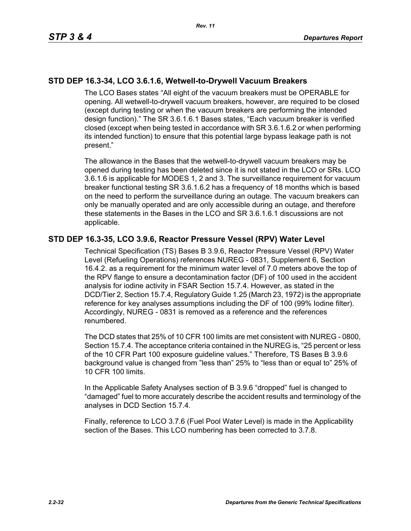## **STD DEP 16.3-34, LCO 3.6.1.6, Wetwell-to-Drywell Vacuum Breakers**

The LCO Bases states "All eight of the vacuum breakers must be OPERABLE for opening. All wetwell-to-drywell vacuum breakers, however, are required to be closed (except during testing or when the vacuum breakers are performing the intended design function)." The SR 3.6.1.6.1 Bases states, "Each vacuum breaker is verified closed (except when being tested in accordance with SR 3.6.1.6.2 or when performing its intended function) to ensure that this potential large bypass leakage path is not present."

The allowance in the Bases that the wetwell-to-drywell vacuum breakers may be opened during testing has been deleted since it is not stated in the LCO or SRs. LCO 3.6.1.6 is applicable for MODES 1, 2 and 3. The surveillance requirement for vacuum breaker functional testing SR 3.6.1.6.2 has a frequency of 18 months which is based on the need to perform the surveillance during an outage. The vacuum breakers can only be manually operated and are only accessible during an outage, and therefore these statements in the Bases in the LCO and SR 3.6.1.6.1 discussions are not applicable.

## **STD DEP 16.3-35, LCO 3.9.6, Reactor Pressure Vessel (RPV) Water Level**

Technical Specification (TS) Bases B 3.9.6, Reactor Pressure Vessel (RPV) Water Level (Refueling Operations) references NUREG - 0831, Supplement 6, Section 16.4.2. as a requirement for the minimum water level of 7.0 meters above the top of the RPV flange to ensure a decontamination factor (DF) of 100 used in the accident analysis for iodine activity in FSAR Section 15.7.4. However, as stated in the DCD/Tier 2, Section 15.7.4, Regulatory Guide 1.25 (March 23, 1972) is the appropriate reference for key analyses assumptions including the DF of 100 (99% Iodine filter). Accordingly, NUREG - 0831 is removed as a reference and the references renumbered.

The DCD states that 25% of 10 CFR 100 limits are met consistent with NUREG - 0800, Section 15.7.4. The acceptance criteria contained in the NUREG is, "25 percent or less of the 10 CFR Part 100 exposure guideline values." Therefore, TS Bases B 3.9.6 background value is changed from "less than" 25% to "less than or equal to" 25% of 10 CFR 100 limits.

In the Applicable Safety Analyses section of B 3.9.6 "dropped" fuel is changed to "damaged" fuel to more accurately describe the accident results and terminology of the analyses in DCD Section 15.7.4.

Finally, reference to LCO 3.7.6 (Fuel Pool Water Level) is made in the Applicability section of the Bases. This LCO numbering has been corrected to 3.7.8.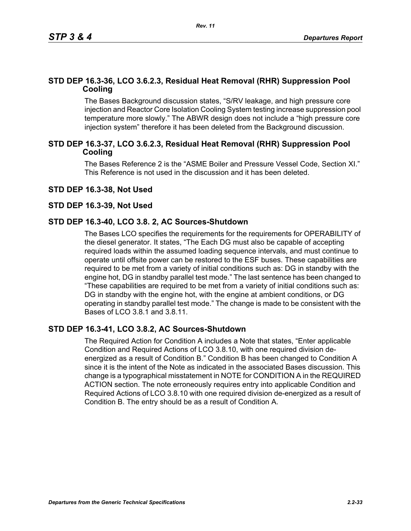## **STD DEP 16.3-36, LCO 3.6.2.3, Residual Heat Removal (RHR) Suppression Pool Cooling**

*Rev. 11*

The Bases Background discussion states, "S/RV leakage, and high pressure core injection and Reactor Core Isolation Cooling System testing increase suppression pool temperature more slowly." The ABWR design does not include a "high pressure core injection system" therefore it has been deleted from the Background discussion.

## **STD DEP 16.3-37, LCO 3.6.2.3, Residual Heat Removal (RHR) Suppression Pool Cooling**

The Bases Reference 2 is the "ASME Boiler and Pressure Vessel Code, Section XI." This Reference is not used in the discussion and it has been deleted.

#### **STD DEP 16.3-38, Not Used**

#### **STD DEP 16.3-39, Not Used**

## **STD DEP 16.3-40, LCO 3.8. 2, AC Sources-Shutdown**

The Bases LCO specifies the requirements for the requirements for OPERABILITY of the diesel generator. It states, "The Each DG must also be capable of accepting required loads within the assumed loading sequence intervals, and must continue to operate until offsite power can be restored to the ESF buses. These capabilities are required to be met from a variety of initial conditions such as: DG in standby with the engine hot, DG in standby parallel test mode." The last sentence has been changed to "These capabilities are required to be met from a variety of initial conditions such as: DG in standby with the engine hot, with the engine at ambient conditions, or DG operating in standby parallel test mode." The change is made to be consistent with the Bases of LCO 3.8.1 and 3.8.11.

## **STD DEP 16.3-41, LCO 3.8.2, AC Sources-Shutdown**

The Required Action for Condition A includes a Note that states, "Enter applicable Condition and Required Actions of LCO 3.8.10, with one required division deenergized as a result of Condition B." Condition B has been changed to Condition A since it is the intent of the Note as indicated in the associated Bases discussion. This change is a typographical misstatement in NOTE for CONDITION A in the REQUIRED ACTION section. The note erroneously requires entry into applicable Condition and Required Actions of LCO 3.8.10 with one required division de-energized as a result of Condition B. The entry should be as a result of Condition A.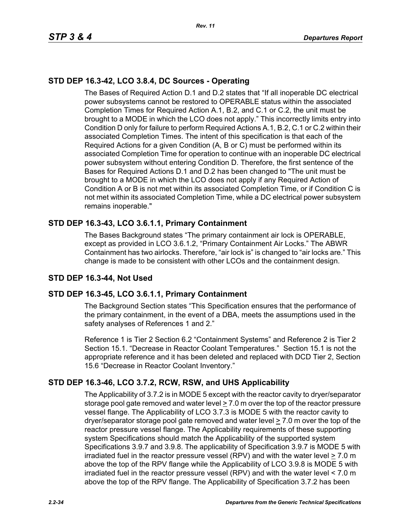# **STD DEP 16.3-42, LCO 3.8.4, DC Sources - Operating**

The Bases of Required Action D.1 and D.2 states that "If all inoperable DC electrical power subsystems cannot be restored to OPERABLE status within the associated Completion Times for Required Action A.1, B.2, and C.1 or C.2, the unit must be brought to a MODE in which the LCO does not apply." This incorrectly limits entry into Condition D only for failure to perform Required Actions A.1, B.2, C.1 or C.2 within their associated Completion Times. The intent of this specification is that each of the Required Actions for a given Condition (A, B or C) must be performed within its associated Completion Time for operation to continue with an inoperable DC electrical power subsystem without entering Condition D. Therefore, the first sentence of the Bases for Required Actions D.1 and D.2 has been changed to "The unit must be brought to a MODE in which the LCO does not apply if any Required Action of Condition A or B is not met within its associated Completion Time, or if Condition C is not met within its associated Completion Time, while a DC electrical power subsystem remains inoperable."

# **STD DEP 16.3-43, LCO 3.6.1.1, Primary Containment**

The Bases Background states "The primary containment air lock is OPERABLE, except as provided in LCO 3.6.1.2, "Primary Containment Air Locks." The ABWR Containment has two airlocks. Therefore, "air lock is" is changed to "air locks are." This change is made to be consistent with other LCOs and the containment design.

# **STD DEP 16.3-44, Not Used**

## **STD DEP 16.3-45, LCO 3.6.1.1, Primary Containment**

The Background Section states "This Specification ensures that the performance of the primary containment, in the event of a DBA, meets the assumptions used in the safety analyses of References 1 and 2."

Reference 1 is Tier 2 Section 6.2 "Containment Systems" and Reference 2 is Tier 2 Section 15.1. "Decrease in Reactor Coolant Temperatures." Section 15.1 is not the appropriate reference and it has been deleted and replaced with DCD Tier 2, Section 15.6 "Decrease in Reactor Coolant Inventory."

## **STD DEP 16.3-46, LCO 3.7.2, RCW, RSW, and UHS Applicability**

The Applicability of 3.7.2 is in MODE 5 except with the reactor cavity to dryer/separator storage pool gate removed and water level  $\geq 7.0$  m over the top of the reactor pressure vessel flange. The Applicability of LCO 3.7.3 is MODE 5 with the reactor cavity to dryer/separator storage pool gate removed and water level  $\geq 7.0$  m over the top of the reactor pressure vessel flange. The Applicability requirements of these supporting system Specifications should match the Applicability of the supported system Specifications 3.9.7 and 3.9.8. The applicability of Specification 3.9.7 is MODE 5 with irradiated fuel in the reactor pressure vessel (RPV) and with the water level > 7.0 m above the top of the RPV flange while the Applicability of LCO 3.9.8 is MODE 5 with irradiated fuel in the reactor pressure vessel (RPV) and with the water level < 7.0 m above the top of the RPV flange. The Applicability of Specification 3.7.2 has been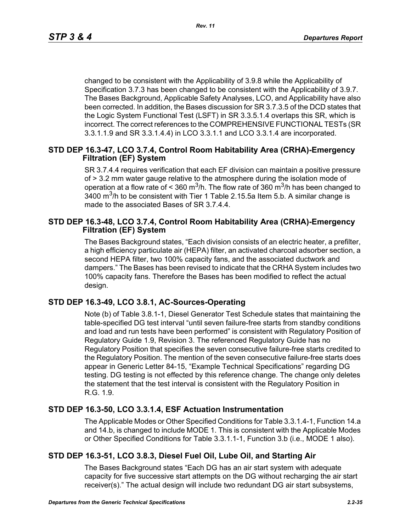changed to be consistent with the Applicability of 3.9.8 while the Applicability of Specification 3.7.3 has been changed to be consistent with the Applicability of 3.9.7. The Bases Background, Applicable Safety Analyses, LCO, and Applicability have also been corrected. In addition, the Bases discussion for SR 3.7.3.5 of the DCD states that the Logic System Functional Test (LSFT) in SR 3.3.5.1.4 overlaps this SR, which is incorrect. The correct references to the COMPREHENSIVE FUNCTIONAL TESTs (SR 3.3.1.1.9 and SR 3.3.1.4.4) in LCO 3.3.1.1 and LCO 3.3.1.4 are incorporated.

## **STD DEP 16.3-47, LCO 3.7.4, Control Room Habitability Area (CRHA)-Emergency Filtration (EF) System**

SR 3.7.4.4 requires verification that each EF division can maintain a positive pressure of > 3.2 mm water gauge relative to the atmosphere during the isolation mode of operation at a flow rate of < 360 m<sup>3</sup>/h. The flow rate of 360 m<sup>3</sup>/h has been changed to  $3400$  m<sup>3</sup>/h to be consistent with Tier 1 Table 2.15.5a Item 5.b. A similar change is made to the associated Bases of SR 3.7.4.4.

## **STD DEP 16.3-48, LCO 3.7.4, Control Room Habitability Area (CRHA)-Emergency Filtration (EF) System**

The Bases Background states, "Each division consists of an electric heater, a prefilter, a high efficiency particulate air (HEPA) filter, an activated charcoal adsorber section, a second HEPA filter, two 100% capacity fans, and the associated ductwork and dampers." The Bases has been revised to indicate that the CRHA System includes two 100% capacity fans. Therefore the Bases has been modified to reflect the actual design.

## **STD DEP 16.3-49, LCO 3.8.1, AC-Sources-Operating**

Note (b) of Table 3.8.1-1, Diesel Generator Test Schedule states that maintaining the table-specified DG test interval "until seven failure-free starts from standby conditions and load and run tests have been performed" is consistent with Regulatory Position of Regulatory Guide 1.9, Revision 3. The referenced Regulatory Guide has no Regulatory Position that specifies the seven consecutive failure-free starts credited to the Regulatory Position. The mention of the seven consecutive failure-free starts does appear in Generic Letter 84-15, "Example Technical Specifications" regarding DG testing. DG testing is not effected by this reference change. The change only deletes the statement that the test interval is consistent with the Regulatory Position in R.G. 1.9.

## **STD DEP 16.3-50, LCO 3.3.1.4, ESF Actuation Instrumentation**

The Applicable Modes or Other Specified Conditions for Table 3.3.1.4-1, Function 14.a and 14.b, is changed to include MODE 1. This is consistent with the Applicable Modes or Other Specified Conditions for Table 3.3.1.1-1, Function 3.b (i.e., MODE 1 also).

## **STD DEP 16.3-51, LCO 3.8.3, Diesel Fuel Oil, Lube Oil, and Starting Air**

The Bases Background states "Each DG has an air start system with adequate capacity for five successive start attempts on the DG without recharging the air start receiver(s)." The actual design will include two redundant DG air start subsystems,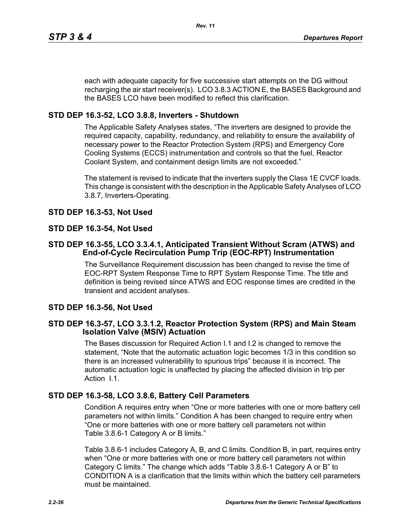each with adequate capacity for five successive start attempts on the DG without recharging the air start receiver(s). LCO 3.8.3 ACTION E, the BASES Background and the BASES LCO have been modified to reflect this clarification.

## **STD DEP 16.3-52, LCO 3.8.8, Inverters - Shutdown**

The Applicable Safety Analyses states, "The inverters are designed to provide the required capacity, capability, redundancy, and reliability to ensure the availability of necessary power to the Reactor Protection System (RPS) and Emergency Core Cooling Systems (ECCS) instrumentation and controls so that the fuel, Reactor Coolant System, and containment design limits are not exceeded."

The statement is revised to indicate that the inverters supply the Class 1E CVCF loads. This change is consistent with the description in the Applicable Safety Analyses of LCO 3.8.7, Inverters-Operating.

## **STD DEP 16.3-53, Not Used**

## **STD DEP 16.3-54, Not Used**

## **STD DEP 16.3-55, LCO 3.3.4.1, Anticipated Transient Without Scram (ATWS) and End-of-Cycle Recirculation Pump Trip (EOC-RPT) Instrumentation**

The Surveillance Requirement discussion has been changed to revise the time of EOC-RPT System Response Time to RPT System Response Time. The title and definition is being revised since ATWS and EOC response times are credited in the transient and accident analyses.

## **STD DEP 16.3-56, Not Used**

## **STD DEP 16.3-57, LCO 3.3.1.2, Reactor Protection System (RPS) and Main Steam Isolation Valve (MSIV) Actuation**

The Bases discussion for Required Action I.1 and I.2 is changed to remove the statement, "Note that the automatic actuation logic becomes 1/3 in this condition so there is an increased vulnerability to spurious trips" because it is incorrect. The automatic actuation logic is unaffected by placing the affected division in trip per Action I.1.

## **STD DEP 16.3-58, LCO 3.8.6, Battery Cell Parameters**

Condition A requires entry when "One or more batteries with one or more battery cell parameters not within limits." Condition A has been changed to require entry when "One or more batteries with one or more battery cell parameters not within Table 3.8.6-1 Category A or B limits."

Table 3.8.6-1 includes Category A, B, and C limits. Condition B, in part, requires entry when "One or more batteries with one or more battery cell parameters not within Category C limits." The change which adds "Table 3.8.6-1 Category A or B" to CONDITION A is a clarification that the limits within which the battery cell parameters must be maintained.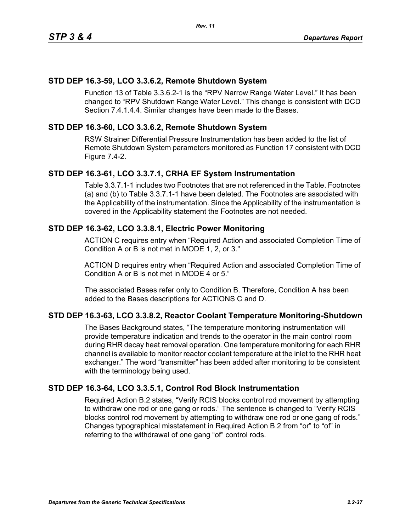## **STD DEP 16.3-59, LCO 3.3.6.2, Remote Shutdown System**

Function 13 of Table 3.3.6.2-1 is the "RPV Narrow Range Water Level." It has been changed to "RPV Shutdown Range Water Level." This change is consistent with DCD Section 7.4.1.4.4. Similar changes have been made to the Bases.

## **STD DEP 16.3-60, LCO 3.3.6.2, Remote Shutdown System**

RSW Strainer Differential Pressure Instrumentation has been added to the list of Remote Shutdown System parameters monitored as Function 17 consistent with DCD Figure 7.4-2.

## **STD DEP 16.3-61, LCO 3.3.7.1, CRHA EF System Instrumentation**

Table 3.3.7.1-1 includes two Footnotes that are not referenced in the Table. Footnotes (a) and (b) to Table 3.3.7.1-1 have been deleted. The Footnotes are associated with the Applicability of the instrumentation. Since the Applicability of the instrumentation is covered in the Applicability statement the Footnotes are not needed.

## **STD DEP 16.3-62, LCO 3.3.8.1, Electric Power Monitoring**

ACTION C requires entry when "Required Action and associated Completion Time of Condition A or B is not met in MODE 1, 2, or 3."

ACTION D requires entry when "Required Action and associated Completion Time of Condition A or B is not met in MODE 4 or 5."

The associated Bases refer only to Condition B. Therefore, Condition A has been added to the Bases descriptions for ACTIONS C and D.

## **STD DEP 16.3-63, LCO 3.3.8.2, Reactor Coolant Temperature Monitoring-Shutdown**

The Bases Background states, "The temperature monitoring instrumentation will provide temperature indication and trends to the operator in the main control room during RHR decay heat removal operation. One temperature monitoring for each RHR channel is available to monitor reactor coolant temperature at the inlet to the RHR heat exchanger." The word "transmitter" has been added after monitoring to be consistent with the terminology being used.

## **STD DEP 16.3-64, LCO 3.3.5.1, Control Rod Block Instrumentation**

Required Action B.2 states, "Verify RCIS blocks control rod movement by attempting to withdraw one rod or one gang or rods." The sentence is changed to "Verify RCIS blocks control rod movement by attempting to withdraw one rod or one gang of rods." Changes typographical misstatement in Required Action B.2 from "or" to "of" in referring to the withdrawal of one gang "of" control rods.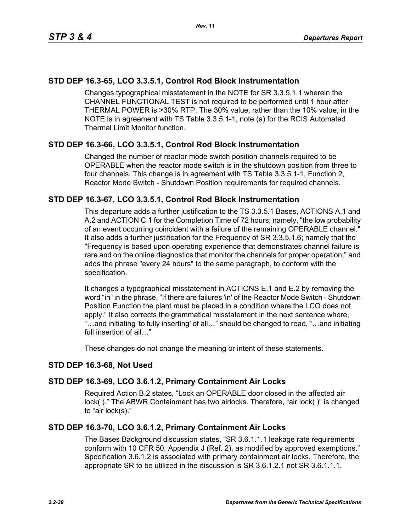## **STD DEP 16.3-65, LCO 3.3.5.1, Control Rod Block Instrumentation**

Changes typographical misstatement in the NOTE for SR 3.3.5.1.1 wherein the CHANNEL FUNCTIONAL TEST is not required to be performed until 1 hour after THERMAL POWER is >30% RTP. The 30% value, rather than the 10% value, in the NOTE is in agreement with TS Table 3.3.5.1-1, note (a) for the RCIS Automated Thermal Limit Monitor function.

## **STD DEP 16.3-66, LCO 3.3.5.1, Control Rod Block Instrumentation**

Changed the number of reactor mode switch position channels required to be OPERABLE when the reactor mode switch is in the shutdown position from three to four channels. This change is in agreement with TS Table 3.3.5.1-1, Function 2, Reactor Mode Switch - Shutdown Position requirements for required channels.

## **STD DEP 16.3-67, LCO 3.3.5.1, Control Rod Block Instrumentation**

This departure adds a further justification to the TS 3.3.5.1 Bases, ACTIONS A.1 and A.2 and ACTION C.1 for the Completion Time of 72 hours; namely, "the low probability of an event occurring coincident with a failure of the remaining OPERABLE channel." It also adds a further justification for the Frequency of SR 3.3.5.1.6; namely that the "Frequency is based upon operating experience that demonstrates channel failure is rare and on the online diagnostics that monitor the channels for proper operation," and adds the phrase "every 24 hours" to the same paragraph, to conform with the specification.

It changes a typographical misstatement in ACTIONS E.1 and E.2 by removing the word "in" in the phrase, "If there are failures 'in' of the Reactor Mode Switch - Shutdown Position Function the plant must be placed in a condition where the LCO does not apply." It also corrects the grammatical misstatement in the next sentence where, "…and initiating 'to fully inserting' of all…" should be changed to read, "…and initiating full insertion of all…"

These changes do not change the meaning or intent of these statements.

## **STD DEP 16.3-68, Not Used**

## **STD DEP 16.3-69, LCO 3.6.1.2, Primary Containment Air Locks**

Required Action B.2 states, "Lock an OPERABLE door closed in the affected air lock( )." The ABWR Containment has two airlocks. Therefore, "air lock( )" is changed to "air lock(s)."

## **STD DEP 16.3-70, LCO 3.6.1.2, Primary Containment Air Locks**

The Bases Background discussion states, "SR 3.6.1.1.1 leakage rate requirements conform with 10 CFR 50, Appendix J (Ref. 2), as modified by approved exemptions." Specification 3.6.1.2 is associated with primary containment air locks. Therefore, the appropriate SR to be utilized in the discussion is SR 3.6.1.2.1 not SR 3.6.1.1.1.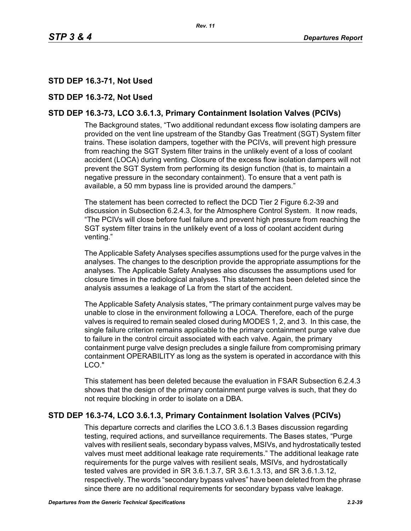# **STD DEP 16.3-71, Not Used**

## **STD DEP 16.3-72, Not Used**

## **STD DEP 16.3-73, LCO 3.6.1.3, Primary Containment Isolation Valves (PCIVs)**

The Background states, "Two additional redundant excess flow isolating dampers are provided on the vent line upstream of the Standby Gas Treatment (SGT) System filter trains. These isolation dampers, together with the PCIVs, will prevent high pressure from reaching the SGT System filter trains in the unlikely event of a loss of coolant accident (LOCA) during venting. Closure of the excess flow isolation dampers will not prevent the SGT System from performing its design function (that is, to maintain a negative pressure in the secondary containment). To ensure that a vent path is available, a 50 mm bypass line is provided around the dampers."

The statement has been corrected to reflect the DCD Tier 2 Figure 6.2-39 and discussion in Subsection 6.2.4.3, for the Atmosphere Control System. It now reads, "The PCIVs will close before fuel failure and prevent high pressure from reaching the SGT system filter trains in the unlikely event of a loss of coolant accident during venting."

The Applicable Safety Analyses specifies assumptions used for the purge valves in the analyses. The changes to the description provide the appropriate assumptions for the analyses. The Applicable Safety Analyses also discusses the assumptions used for closure times in the radiological analyses. This statement has been deleted since the analysis assumes a leakage of La from the start of the accident.

The Applicable Safety Analysis states, "The primary containment purge valves may be unable to close in the environment following a LOCA. Therefore, each of the purge valves is required to remain sealed closed during MODES 1, 2, and 3. In this case, the single failure criterion remains applicable to the primary containment purge valve due to failure in the control circuit associated with each valve. Again, the primary containment purge valve design precludes a single failure from compromising primary containment OPERABILITY as long as the system is operated in accordance with this LCO."

This statement has been deleted because the evaluation in FSAR Subsection 6.2.4.3 shows that the design of the primary containment purge valves is such, that they do not require blocking in order to isolate on a DBA.

## **STD DEP 16.3-74, LCO 3.6.1.3, Primary Containment Isolation Valves (PCIVs)**

This departure corrects and clarifies the LCO 3.6.1.3 Bases discussion regarding testing, required actions, and surveillance requirements. The Bases states, "Purge valves with resilient seals, secondary bypass valves, MSIVs, and hydrostatically tested valves must meet additional leakage rate requirements." The additional leakage rate requirements for the purge valves with resilient seals, MSIVs, and hydrostatically tested valves are provided in SR 3.6.1.3.7, SR 3.6.1.3.13, and SR 3.6.1.3.12, respectively. The words "secondary bypass valves" have been deleted from the phrase since there are no additional requirements for secondary bypass valve leakage.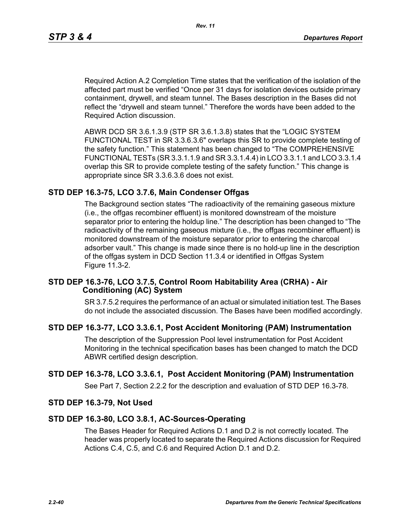Required Action A.2 Completion Time states that the verification of the isolation of the affected part must be verified "Once per 31 days for isolation devices outside primary containment, drywell, and steam tunnel. The Bases description in the Bases did not reflect the "drywell and steam tunnel." Therefore the words have been added to the Required Action discussion.

ABWR DCD SR 3.6.1.3.9 (STP SR 3.6.1.3.8) states that the "LOGIC SYSTEM FUNCTIONAL TEST in SR 3.3.6.3.6" overlaps this SR to provide complete testing of the safety function." This statement has been changed to "The COMPREHENSIVE FUNCTIONAL TESTs (SR 3.3.1.1.9 and SR 3.3.1.4.4) in LCO 3.3.1.1 and LCO 3.3.1.4 overlap this SR to provide complete testing of the safety function." This change is appropriate since SR 3.3.6.3.6 does not exist.

## **STD DEP 16.3-75, LCO 3.7.6, Main Condenser Offgas**

The Background section states "The radioactivity of the remaining gaseous mixture (i.e., the offgas recombiner effluent) is monitored downstream of the moisture separator prior to entering the holdup line." The description has been changed to "The radioactivity of the remaining gaseous mixture (i.e., the offgas recombiner effluent) is monitored downstream of the moisture separator prior to entering the charcoal adsorber vault." This change is made since there is no hold-up line in the description of the offgas system in DCD Section 11.3.4 or identified in Offgas System Figure 11.3-2.

#### **STD DEP 16.3-76, LCO 3.7.5, Control Room Habitability Area (CRHA) - Air Conditioning (AC) System**

SR 3.7.5.2 requires the performance of an actual or simulated initiation test. The Bases do not include the associated discussion. The Bases have been modified accordingly.

## **STD DEP 16.3-77, LCO 3.3.6.1, Post Accident Monitoring (PAM) Instrumentation**

The description of the Suppression Pool level instrumentation for Post Accident Monitoring in the technical specification bases has been changed to match the DCD ABWR certified design description.

## **STD DEP 16.3-78, LCO 3.3.6.1, Post Accident Monitoring (PAM) Instrumentation**

See Part 7, Section 2.2.2 for the description and evaluation of STD DEP 16.3-78.

#### **STD DEP 16.3-79, Not Used**

#### **STD DEP 16.3-80, LCO 3.8.1, AC-Sources-Operating**

The Bases Header for Required Actions D.1 and D.2 is not correctly located. The header was properly located to separate the Required Actions discussion for Required Actions C.4, C.5, and C.6 and Required Action D.1 and D.2.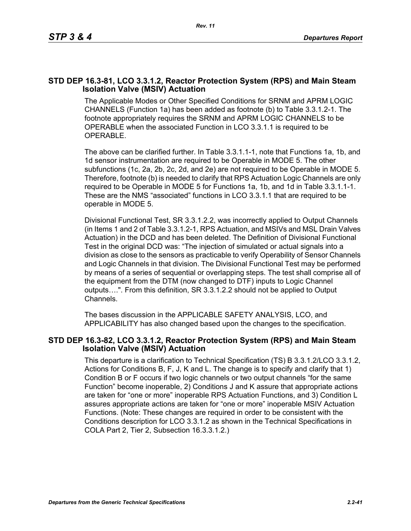## **STD DEP 16.3-81, LCO 3.3.1.2, Reactor Protection System (RPS) and Main Steam Isolation Valve (MSIV) Actuation**

The Applicable Modes or Other Specified Conditions for SRNM and APRM LOGIC CHANNELS (Function 1a) has been added as footnote (b) to Table 3.3.1.2-1. The footnote appropriately requires the SRNM and APRM LOGIC CHANNELS to be OPERABLE when the associated Function in LCO 3.3.1.1 is required to be OPERABLE.

The above can be clarified further. In Table 3.3.1.1-1, note that Functions 1a, 1b, and 1d sensor instrumentation are required to be Operable in MODE 5. The other subfunctions (1c, 2a, 2b, 2c, 2d, and 2e) are not required to be Operable in MODE 5. Therefore, footnote (b) is needed to clarify that RPS Actuation Logic Channels are only required to be Operable in MODE 5 for Functions 1a, 1b, and 1d in Table 3.3.1.1-1. These are the NMS "associated" functions in LCO 3.3.1.1 that are required to be operable in MODE 5.

Divisional Functional Test, SR 3.3.1.2.2, was incorrectly applied to Output Channels (in Items 1 and 2 of Table 3.3.1.2-1, RPS Actuation, and MSIVs and MSL Drain Valves Actuation) in the DCD and has been deleted. The Definition of Divisional Functional Test in the original DCD was: "The injection of simulated or actual signals into a division as close to the sensors as practicable to verify Operability of Sensor Channels and Logic Channels in that division. The Divisional Functional Test may be performed by means of a series of sequential or overlapping steps. The test shall comprise all of the equipment from the DTM (now changed to DTF) inputs to Logic Channel outputs….". From this definition, SR 3.3.1.2.2 should not be applied to Output Channels.

The bases discussion in the APPLICABLE SAFETY ANALYSIS, LCO, and APPLICABILITY has also changed based upon the changes to the specification.

## **STD DEP 16.3-82, LCO 3.3.1.2, Reactor Protection System (RPS) and Main Steam Isolation Valve (MSIV) Actuation**

This departure is a clarification to Technical Specification (TS) B 3.3.1.2/LCO 3.3.1.2, Actions for Conditions B, F, J, K and L. The change is to specify and clarify that 1) Condition B or F occurs if two logic channels or two output channels "for the same Function" become inoperable, 2) Conditions J and K assure that appropriate actions are taken for "one or more" inoperable RPS Actuation Functions, and 3) Condition L assures appropriate actions are taken for "one or more" inoperable MSIV Actuation Functions. (Note: These changes are required in order to be consistent with the Conditions description for LCO 3.3.1.2 as shown in the Technical Specifications in COLA Part 2, Tier 2, Subsection 16.3.3.1.2.)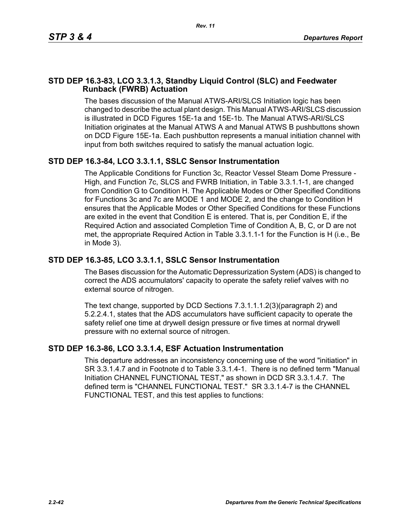## **STD DEP 16.3-83, LCO 3.3.1.3, Standby Liquid Control (SLC) and Feedwater Runback (FWRB) Actuation**

The bases discussion of the Manual ATWS-ARI/SLCS Initiation logic has been changed to describe the actual plant design. This Manual ATWS-ARI/SLCS discussion is illustrated in DCD Figures 15E-1a and 15E-1b. The Manual ATWS-ARI/SLCS Initiation originates at the Manual ATWS A and Manual ATWS B pushbuttons shown on DCD Figure 15E-1a. Each pushbutton represents a manual initiation channel with input from both switches required to satisfy the manual actuation logic.

# **STD DEP 16.3-84, LCO 3.3.1.1, SSLC Sensor Instrumentation**

The Applicable Conditions for Function 3c, Reactor Vessel Steam Dome Pressure - High, and Function 7c, SLCS and FWRB Initiation, in Table 3.3.1.1-1, are changed from Condition G to Condition H. The Applicable Modes or Other Specified Conditions for Functions 3c and 7c are MODE 1 and MODE 2, and the change to Condition H ensures that the Applicable Modes or Other Specified Conditions for these Functions are exited in the event that Condition E is entered. That is, per Condition E, if the Required Action and associated Completion Time of Condition A, B, C, or D are not met, the appropriate Required Action in Table 3.3.1.1-1 for the Function is H (i.e., Be in Mode 3).

## **STD DEP 16.3-85, LCO 3.3.1.1, SSLC Sensor Instrumentation**

The Bases discussion for the Automatic Depressurization System (ADS) is changed to correct the ADS accumulators' capacity to operate the safety relief valves with no external source of nitrogen.

The text change, supported by DCD Sections 7.3.1.1.1.2(3)(paragraph 2) and 5.2.2.4.1, states that the ADS accumulators have sufficient capacity to operate the safety relief one time at drywell design pressure or five times at normal drywell pressure with no external source of nitrogen.

## **STD DEP 16.3-86, LCO 3.3.1.4, ESF Actuation Instrumentation**

This departure addresses an inconsistency concerning use of the word "initiation" in SR 3.3.1.4.7 and in Footnote d to Table 3.3.1.4-1. There is no defined term "Manual Initiation CHANNEL FUNCTIONAL TEST," as shown in DCD SR 3.3.1.4.7. The defined term is "CHANNEL FUNCTIONAL TEST." SR 3.3.1.4-7 is the CHANNEL FUNCTIONAL TEST, and this test applies to functions: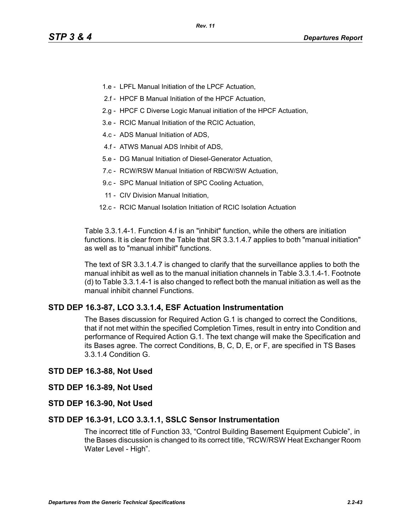- 1.e LPFL Manual Initiation of the LPCF Actuation,
- 2.f HPCF B Manual Initiation of the HPCF Actuation,
- 2.g HPCF C Diverse Logic Manual initiation of the HPCF Actuation,
- 3.e RCIC Manual Initiation of the RCIC Actuation,
- 4.c ADS Manual Initiation of ADS,
- 4.f ATWS Manual ADS Inhibit of ADS,
- 5.e DG Manual Initiation of Diesel-Generator Actuation,
- 7.c RCW/RSW Manual Initiation of RBCW/SW Actuation,
- 9.c SPC Manual Initiation of SPC Cooling Actuation,
- 11 CIV Division Manual Initiation,
- 12.c RCIC Manual Isolation Initiation of RCIC Isolation Actuation

Table 3.3.1.4-1. Function 4.f is an "inhibit" function, while the others are initiation functions. It is clear from the Table that SR 3.3.1.4.7 applies to both "manual initiation" as well as to "manual inhibit" functions.

The text of SR 3.3.1.4.7 is changed to clarify that the surveillance applies to both the manual inhibit as well as to the manual initiation channels in Table 3.3.1.4-1. Footnote (d) to Table 3.3.1.4-1 is also changed to reflect both the manual initiation as well as the manual inhibit channel Functions.

## **STD DEP 16.3-87, LCO 3.3.1.4, ESF Actuation Instrumentation**

The Bases discussion for Required Action G.1 is changed to correct the Conditions, that if not met within the specified Completion Times, result in entry into Condition and performance of Required Action G.1. The text change will make the Specification and its Bases agree. The correct Conditions, B, C, D, E, or F, are specified in TS Bases 3.3.1.4 Condition G.

#### **STD DEP 16.3-88, Not Used**

#### **STD DEP 16.3-89, Not Used**

**STD DEP 16.3-90, Not Used**

#### **STD DEP 16.3-91, LCO 3.3.1.1, SSLC Sensor Instrumentation**

The incorrect title of Function 33, "Control Building Basement Equipment Cubicle", in the Bases discussion is changed to its correct title, "RCW/RSW Heat Exchanger Room Water Level - High".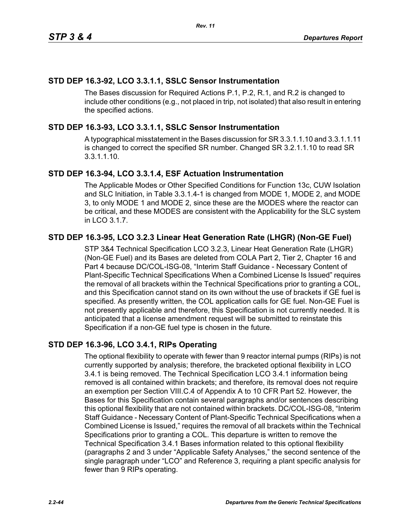## **STD DEP 16.3-92, LCO 3.3.1.1, SSLC Sensor Instrumentation**

The Bases discussion for Required Actions P.1, P.2, R.1, and R.2 is changed to include other conditions (e.g., not placed in trip, not isolated) that also result in entering the specified actions.

## **STD DEP 16.3-93, LCO 3.3.1.1, SSLC Sensor Instrumentation**

A typographical misstatement in the Bases discussion for SR 3.3.1.1.10 and 3.3.1.1.11 is changed to correct the specified SR number. Changed SR 3.2.1.1.10 to read SR 3.3.1.1.10.

## **STD DEP 16.3-94, LCO 3.3.1.4, ESF Actuation Instrumentation**

The Applicable Modes or Other Specified Conditions for Function 13c, CUW Isolation and SLC Initiation, in Table 3.3.1.4-1 is changed from MODE 1, MODE 2, and MODE 3, to only MODE 1 and MODE 2, since these are the MODES where the reactor can be critical, and these MODES are consistent with the Applicability for the SLC system in LCO 3.1.7.

## **STD DEP 16.3-95, LCO 3.2.3 Linear Heat Generation Rate (LHGR) (Non-GE Fuel)**

STP 3&4 Technical Specification LCO 3.2.3, Linear Heat Generation Rate (LHGR) (Non-GE Fuel) and its Bases are deleted from COLA Part 2, Tier 2, Chapter 16 and Part 4 because DC/COL-ISG-08, "Interim Staff Guidance - Necessary Content of Plant-Specific Technical Specifications When a Combined License Is Issued" requires the removal of all brackets within the Technical Specifications prior to granting a COL, and this Specification cannot stand on its own without the use of brackets if GE fuel is specified. As presently written, the COL application calls for GE fuel. Non-GE Fuel is not presently applicable and therefore, this Specification is not currently needed. It is anticipated that a license amendment request will be submitted to reinstate this Specification if a non-GE fuel type is chosen in the future.

## **STD DEP 16.3-96, LCO 3.4.1, RIPs Operating**

The optional flexibility to operate with fewer than 9 reactor internal pumps (RIPs) is not currently supported by analysis; therefore, the bracketed optional flexibility in LCO 3.4.1 is being removed. The Technical Specification LCO 3.4.1 information being removed is all contained within brackets; and therefore, its removal does not require an exemption per Section VIII.C.4 of Appendix A to 10 CFR Part 52. However, the Bases for this Specification contain several paragraphs and/or sentences describing this optional flexibility that are not contained within brackets. DC/COL-ISG-08, "Interim Staff Guidance - Necessary Content of Plant-Specific Technical Specifications when a Combined License is Issued," requires the removal of all brackets within the Technical Specifications prior to granting a COL. This departure is written to remove the Technical Specification 3.4.1 Bases information related to this optional flexibility (paragraphs 2 and 3 under "Applicable Safety Analyses," the second sentence of the single paragraph under "LCO" and Reference 3, requiring a plant specific analysis for fewer than 9 RIPs operating.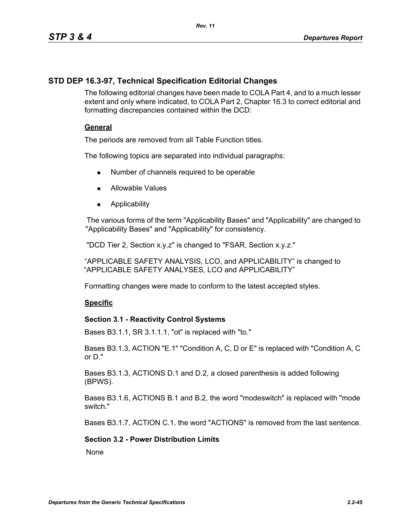## **STD DEP 16.3-97, Technical Specification Editorial Changes**

The following editorial changes have been made to COLA Part 4, and to a much lesser extent and only where indicated, to COLA Part 2, Chapter 16.3 to correct editorial and formatting discrepancies contained within the DCD:

## **General**

The periods are removed from all Table Function titles.

The following topics are separated into individual paragraphs:

- Number of channels required to be operable
- **Allowable Values**
- **Applicability**

The various forms of the term "Applicability Bases" and "Applicability" are changed to "Applicability Bases" and "Applicability" for consistency.

"DCD Tier 2, Section x.y.z" is changed to "FSAR, Section x.y.z."

"APPLICABLE SAFETY ANALYSIS, LCO, and APPLICABILITY" is changed to "APPLICABLE SAFETY ANALYSES, LCO and APPLICABILITY"

Formatting changes were made to conform to the latest accepted styles.

## **Specific**

## **Section 3.1 - Reactivity Control Systems**

Bases B3.1.1, SR 3.1.1.1, "ot" is replaced with "to."

Bases B3.1.3, ACTION "E.1" "Condition A, C, D or E" is replaced with "Condition A, C or D."

Bases B3.1.3, ACTIONS D.1 and D.2, a closed parenthesis is added following (BPWS).

Bases B3.1.6, ACTIONS B.1 and B.2, the word "modeswitch" is replaced with "mode switch."

Bases B3.1.7, ACTION C.1, the word "ACTIONS" is removed from the last sentence.

## **Section 3.2 - Power Distribution Limits**

**None**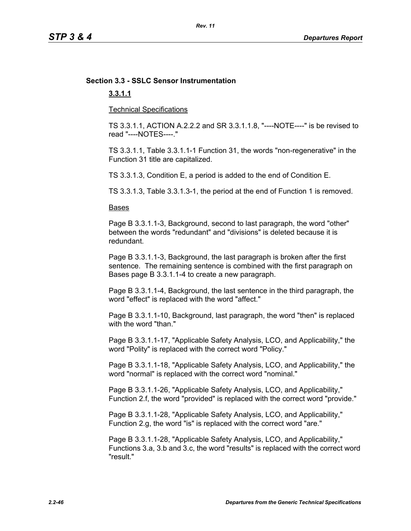# **Section 3.3 - SSLC Sensor Instrumentation**

## **3.3.1.1**

Technical Specifications

TS 3.3.1.1, ACTION A.2.2.2 and SR 3.3.1.1.8, "----NOTE----" is be revised to read "----NOTES----."

TS 3.3.1.1, Table 3.3.1.1-1 Function 31, the words "non-regenerative" in the Function 31 title are capitalized.

TS 3.3.1.3, Condition E, a period is added to the end of Condition E.

TS 3.3.1.3, Table 3.3.1.3-1, the period at the end of Function 1 is removed.

#### Bases

Page B 3.3.1.1-3, Background, second to last paragraph, the word "other" between the words "redundant" and "divisions" is deleted because it is redundant.

Page B 3.3.1.1-3, Background, the last paragraph is broken after the first sentence. The remaining sentence is combined with the first paragraph on Bases page B 3.3.1.1-4 to create a new paragraph.

Page B 3.3.1.1-4, Background, the last sentence in the third paragraph, the word "effect" is replaced with the word "affect."

Page B 3.3.1.1-10, Background, last paragraph, the word "then" is replaced with the word "than."

Page B 3.3.1.1-17, "Applicable Safety Analysis, LCO, and Applicability," the word "Polity" is replaced with the correct word "Policy."

Page B 3.3.1.1-18, "Applicable Safety Analysis, LCO, and Applicability," the word "normal" is replaced with the correct word "nominal."

Page B 3.3.1.1-26, "Applicable Safety Analysis, LCO, and Applicability," Function 2.f, the word "provided" is replaced with the correct word "provide."

Page B 3.3.1.1-28, "Applicable Safety Analysis, LCO, and Applicability," Function 2.g, the word "is" is replaced with the correct word "are."

Page B 3.3.1.1-28, "Applicable Safety Analysis, LCO, and Applicability," Functions 3.a, 3.b and 3.c, the word "results" is replaced with the correct word "result."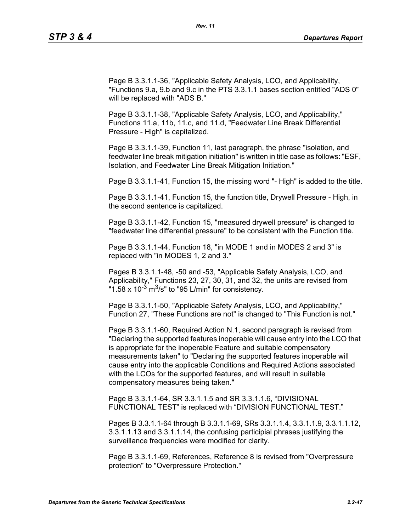Page B 3.3.1.1-36, "Applicable Safety Analysis, LCO, and Applicability, "Functions 9.a, 9.b and 9.c in the PTS 3.3.1.1 bases section entitled "ADS 0" will be replaced with "ADS B."

Page B 3.3.1.1-38, "Applicable Safety Analysis, LCO, and Applicability," Functions 11.a, 11b, 11.c, and 11.d, "Feedwater Line Break Differential Pressure - High" is capitalized.

Page B 3.3.1.1-39, Function 11, last paragraph, the phrase "isolation, and feedwater line break mitigation initiation" is written in title case as follows: "ESF, Isolation, and Feedwater Line Break Mitigation Initiation."

Page B 3.3.1.1-41, Function 15, the missing word "- High" is added to the title.

Page B 3.3.1.1-41, Function 15, the function title, Drywell Pressure - High, in the second sentence is capitalized.

Page B 3.3.1.1-42, Function 15, "measured drywell pressure" is changed to "feedwater line differential pressure" to be consistent with the Function title.

Page B 3.3.1.1-44, Function 18, "in MODE 1 and in MODES 2 and 3" is replaced with "in MODES 1, 2 and 3."

Pages B 3.3.1.1-48, -50 and -53, "Applicable Safety Analysis, LCO, and Applicability," Functions 23, 27, 30, 31, and 32, the units are revised from "1.58 x  $10^{-3}$  m<sup>3</sup>/s" to "95 L/min" for consistency.

Page B 3.3.1.1-50, "Applicable Safety Analysis, LCO, and Applicability," Function 27, "These Functions are not" is changed to "This Function is not."

Page B 3.3.1.1-60, Required Action N.1, second paragraph is revised from "Declaring the supported features inoperable will cause entry into the LCO that is appropriate for the inoperable Feature and suitable compensatory measurements taken" to "Declaring the supported features inoperable will cause entry into the applicable Conditions and Required Actions associated with the LCOs for the supported features, and will result in suitable compensatory measures being taken."

Page B 3.3.1.1-64, SR 3.3.1.1.5 and SR 3.3.1.1.6, "DIVISIONAL FUNCTIONAL TEST" is replaced with "DIVISION FUNCTIONAL TEST."

Pages B 3.3.1.1-64 through B 3.3.1.1-69, SRs 3.3.1.1.4, 3.3.1.1.9, 3.3.1.1.12, 3.3.1.1.13 and 3.3.1.1.14, the confusing participial phrases justifying the surveillance frequencies were modified for clarity.

Page B 3.3.1.1-69, References, Reference 8 is revised from "Overpressure protection" to "Overpressure Protection."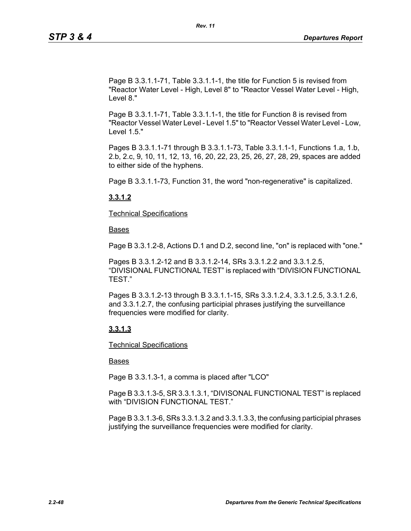Page B 3.3.1.1-71, Table 3.3.1.1-1, the title for Function 5 is revised from "Reactor Water Level - High, Level 8" to "Reactor Vessel Water Level - High, Level 8."

Page B 3.3.1.1-71, Table 3.3.1.1-1, the title for Function 8 is revised from "Reactor Vessel Water Level - Level 1.5" to "Reactor Vessel Water Level - Low, Level 1.5."

Pages B 3.3.1.1-71 through B 3.3.1.1-73, Table 3.3.1.1-1, Functions 1.a, 1.b, 2.b, 2.c, 9, 10, 11, 12, 13, 16, 20, 22, 23, 25, 26, 27, 28, 29, spaces are added to either side of the hyphens.

Page B 3.3.1.1-73, Function 31, the word "non-regenerative" is capitalized.

## **3.3.1.2**

Technical Specifications

Bases

Page B 3.3.1.2-8, Actions D.1 and D.2, second line, "on" is replaced with "one."

Pages B 3.3.1.2-12 and B 3.3.1.2-14, SRs 3.3.1.2.2 and 3.3.1.2.5, "DIVISIONAL FUNCTIONAL TEST" is replaced with "DIVISION FUNCTIONAL TEST."

Pages B 3.3.1.2-13 through B 3.3.1.1-15, SRs 3.3.1.2.4, 3.3.1.2.5, 3.3.1.2.6, and 3.3.1.2.7, the confusing participial phrases justifying the surveillance frequencies were modified for clarity.

## **3.3.1.3**

Technical Specifications

## Bases

Page B 3.3.1.3-1, a comma is placed after "LCO"

Page B 3.3.1.3-5, SR 3.3.1.3.1, "DIVISONAL FUNCTIONAL TEST" is replaced with "DIVISION FUNCTIONAL TEST."

Page B 3.3.1.3-6, SRs 3.3.1.3.2 and 3.3.1.3.3, the confusing participial phrases justifying the surveillance frequencies were modified for clarity.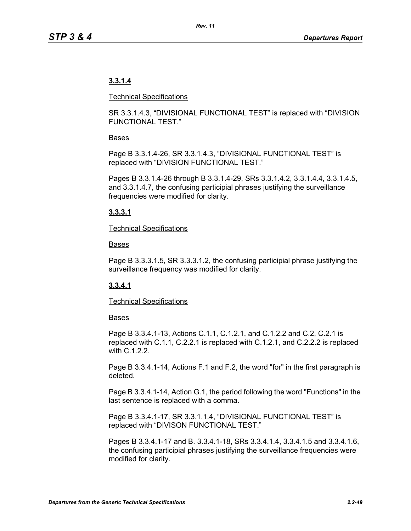# **3.3.1.4**

#### Technical Specifications

SR 3.3.1.4.3, "DIVISIONAL FUNCTIONAL TEST" is replaced with "DIVISION FUNCTIONAL TEST."

## Bases

Page B 3.3.1.4-26, SR 3.3.1.4.3, "DIVISIONAL FUNCTIONAL TEST" is replaced with "DIVISION FUNCTIONAL TEST."

Pages B 3.3.1.4-26 through B 3.3.1.4-29, SRs 3.3.1.4.2, 3.3.1.4.4, 3.3.1.4.5, and 3.3.1.4.7, the confusing participial phrases justifying the surveillance frequencies were modified for clarity.

## **3.3.3.1**

#### Technical Specifications

#### Bases

Page B 3.3.3.1.5, SR 3.3.3.1.2, the confusing participial phrase justifying the surveillance frequency was modified for clarity.

## **3.3.4.1**

## Technical Specifications

## **Bases**

Page B 3.3.4.1-13, Actions C.1.1, C.1.2.1, and C.1.2.2 and C.2, C.2.1 is replaced with C.1.1, C.2.2.1 is replaced with C.1.2.1, and C.2.2.2 is replaced with C.1.2.2.

Page B 3.3.4.1-14, Actions F.1 and F.2, the word "for" in the first paragraph is deleted.

Page B 3.3.4.1-14, Action G.1, the period following the word "Functions" in the last sentence is replaced with a comma.

Page B 3.3.4.1-17, SR 3.3.1.1.4, "DIVISIONAL FUNCTIONAL TEST" is replaced with "DIVISON FUNCTIONAL TEST."

Pages B 3.3.4.1-17 and B. 3.3.4.1-18, SRs 3.3.4.1.4, 3.3.4.1.5 and 3.3.4.1.6, the confusing participial phrases justifying the surveillance frequencies were modified for clarity.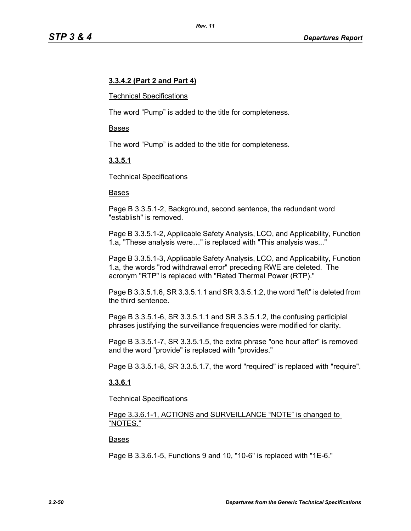## **3.3.4.2 (Part 2 and Part 4)**

#### Technical Specifications

The word "Pump" is added to the title for completeness.

#### Bases

The word "Pump" is added to the title for completeness.

## **3.3.5.1**

#### Technical Specifications

#### Bases

Page B 3.3.5.1-2, Background, second sentence, the redundant word "establish" is removed.

Page B 3.3.5.1-2, Applicable Safety Analysis, LCO, and Applicability, Function 1.a, "These analysis were…" is replaced with "This analysis was..."

Page B 3.3.5.1-3, Applicable Safety Analysis, LCO, and Applicability, Function 1.a, the words "rod withdrawal error" preceding RWE are deleted. The acronym "RTP" is replaced with "Rated Thermal Power (RTP)."

Page B 3.3.5.1.6, SR 3.3.5.1.1 and SR 3.3.5.1.2, the word "left" is deleted from the third sentence.

Page B 3.3.5.1-6, SR 3.3.5.1.1 and SR 3.3.5.1.2, the confusing participial phrases justifying the surveillance frequencies were modified for clarity.

Page B 3.3.5.1-7, SR 3.3.5.1.5, the extra phrase "one hour after" is removed and the word "provide" is replaced with "provides."

Page B 3.3.5.1-8, SR 3.3.5.1.7, the word "required" is replaced with "require".

#### **3.3.6.1**

#### Technical Specifications

Page 3.3.6.1-1, ACTIONS and SURVEILLANCE "NOTE" is changed to "NOTES."

#### Bases

Page B 3.3.6.1-5, Functions 9 and 10, "10-6" is replaced with "1E-6."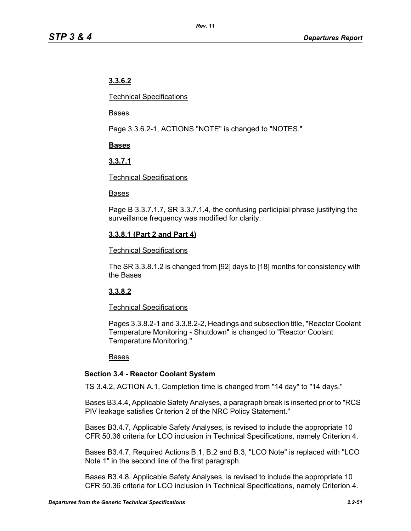# **3.3.6.2**

Technical Specifications

Bases

Page 3.3.6.2-1, ACTIONS "NOTE" is changed to "NOTES."

## **Bases**

# **3.3.7.1**

## Technical Specifications

## Bases

Page B 3.3.7.1.7, SR 3.3.7.1.4, the confusing participial phrase justifying the surveillance frequency was modified for clarity.

# **3.3.8.1 (Part 2 and Part 4)**

## Technical Specifications

The SR 3.3.8.1.2 is changed from [92] days to [18] months for consistency with the Bases

# **3.3.8.2**

## Technical Specifications

Pages 3.3.8.2-1 and 3.3.8.2-2, Headings and subsection title, "Reactor Coolant Temperature Monitoring - Shutdown" is changed to "Reactor Coolant Temperature Monitoring."

## Bases

## **Section 3.4 - Reactor Coolant System**

TS 3.4.2, ACTION A.1, Completion time is changed from "14 day" to "14 days."

Bases B3.4.4, Applicable Safety Analyses, a paragraph break is inserted prior to "RCS PIV leakage satisfies Criterion 2 of the NRC Policy Statement."

Bases B3.4.7, Applicable Safety Analyses, is revised to include the appropriate 10 CFR 50.36 criteria for LCO inclusion in Technical Specifications, namely Criterion 4.

Bases B3.4.7, Required Actions B.1, B.2 and B.3, "LCO Note" is replaced with "LCO Note 1" in the second line of the first paragraph.

Bases B3.4.8, Applicable Safety Analyses, is revised to include the appropriate 10 CFR 50.36 criteria for LCO inclusion in Technical Specifications, namely Criterion 4.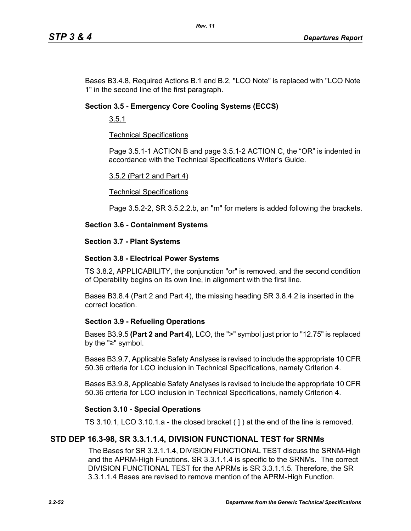Bases B3.4.8, Required Actions B.1 and B.2, "LCO Note" is replaced with "LCO Note 1" in the second line of the first paragraph.

## **Section 3.5 - Emergency Core Cooling Systems (ECCS)**

3.5.1

## Technical Specifications

Page 3.5.1-1 ACTION B and page 3.5.1-2 ACTION C, the "OR" is indented in accordance with the Technical Specifications Writer's Guide.

#### 3.5.2 (Part 2 and Part 4)

#### Technical Specifications

Page 3.5.2-2, SR 3.5.2.2.b, an "m" for meters is added following the brackets.

## **Section 3.6 - Containment Systems**

#### **Section 3.7 - Plant Systems**

## **Section 3.8 - Electrical Power Systems**

TS 3.8.2, APPLICABILITY, the conjunction "or" is removed, and the second condition of Operability begins on its own line, in alignment with the first line.

Bases B3.8.4 (Part 2 and Part 4), the missing heading SR 3.8.4.2 is inserted in the correct location.

## **Section 3.9 - Refueling Operations**

Bases B3.9.5 **(Part 2 and Part 4)**, LCO, the ">" symbol just prior to "12.75" is replaced by the "≥" symbol.

Bases B3.9.7, Applicable Safety Analyses is revised to include the appropriate 10 CFR 50.36 criteria for LCO inclusion in Technical Specifications, namely Criterion 4.

Bases B3.9.8, Applicable Safety Analyses is revised to include the appropriate 10 CFR 50.36 criteria for LCO inclusion in Technical Specifications, namely Criterion 4.

## **Section 3.10 - Special Operations**

TS 3.10.1, LCO 3.10.1.a - the closed bracket ( ] ) at the end of the line is removed.

## **STD DEP 16.3-98, SR 3.3.1.1.4, DIVISION FUNCTIONAL TEST for SRNMs**

The Bases for SR 3.3.1.1.4, DIVISION FUNCTIONAL TEST discuss the SRNM-High and the APRM-High Functions. SR 3.3.1.1.4 is specific to the SRNMs. The correct DIVISION FUNCTIONAL TEST for the APRMs is SR 3.3.1.1.5. Therefore, the SR 3.3.1.1.4 Bases are revised to remove mention of the APRM-High Function.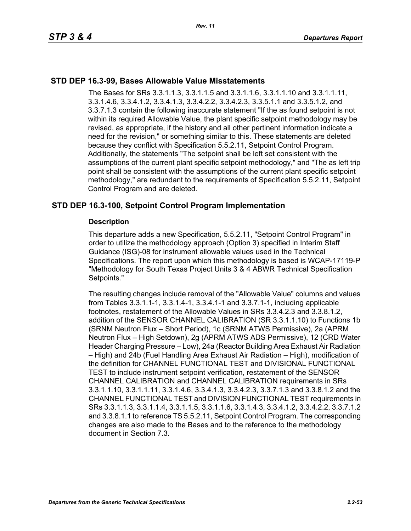## **STD DEP 16.3-99, Bases Allowable Value Misstatements**

The Bases for SRs 3.3.1.1.3, 3.3.1.1.5 and 3.3.1.1.6, 3.3.1.1.10 and 3.3.1.1.11, 3.3.1.4.6, 3.3.4.1.2, 3.3.4.1.3, 3.3.4.2.2, 3.3.4.2.3, 3.3.5.1.1 and 3.3.5.1.2, and 3.3.7.1.3 contain the following inaccurate statement "If the as found setpoint is not within its required Allowable Value, the plant specific setpoint methodology may be revised, as appropriate, if the history and all other pertinent information indicate a need for the revision," or something similar to this. These statements are deleted because they conflict with Specification 5.5.2.11, Setpoint Control Program. Additionally, the statements "The setpoint shall be left set consistent with the assumptions of the current plant specific setpoint methodology," and "The as left trip point shall be consistent with the assumptions of the current plant specific setpoint methodology," are redundant to the requirements of Specification 5.5.2.11, Setpoint Control Program and are deleted.

## **STD DEP 16.3-100, Setpoint Control Program Implementation**

#### **Description**

This departure adds a new Specification, 5.5.2.11, "Setpoint Control Program" in order to utilize the methodology approach (Option 3) specified in Interim Staff Guidance (ISG)-08 for instrument allowable values used in the Technical Specifications. The report upon which this methodology is based is WCAP-17119-P "Methodology for South Texas Project Units 3 & 4 ABWR Technical Specification Setpoints."

The resulting changes include removal of the "Allowable Value" columns and values from Tables 3.3.1.1-1, 3.3.1.4-1, 3.3.4.1-1 and 3.3.7.1-1, including applicable footnotes, restatement of the Allowable Values in SRs 3.3.4.2.3 and 3.3.8.1.2, addition of the SENSOR CHANNEL CALIBRATION (SR 3.3.1.1.10) to Functions 1b (SRNM Neutron Flux – Short Period), 1c (SRNM ATWS Permissive), 2a (APRM Neutron Flux – High Setdown), 2g (APRM ATWS ADS Permissive), 12 (CRD Water Header Charging Pressure – Low), 24a (Reactor Building Area Exhaust Air Radiation – High) and 24b (Fuel Handling Area Exhaust Air Radiation – High), modification of the definition for CHANNEL FUNCTIONAL TEST and DIVISIONAL FUNCTIONAL TEST to include instrument setpoint verification, restatement of the SENSOR CHANNEL CALIBRATION and CHANNEL CALIBRATION requirements in SRs 3.3.1.1.10, 3.3.1.1.11, 3.3.1.4.6, 3.3.4.1.3, 3.3.4.2.3, 3.3.7.1.3 and 3.3.8.1.2 and the CHANNEL FUNCTIONAL TEST and DIVISION FUNCTIONAL TEST requirements in SRs 3.3.1.1.3, 3.3.1.1.4, 3.3.1.1.5, 3.3.1.1.6, 3.3.1.4.3, 3.3.4.1.2, 3.3.4.2.2, 3.3.7.1.2 and 3.3.8.1.1 to reference TS 5.5.2.11, Setpoint Control Program. The corresponding changes are also made to the Bases and to the reference to the methodology document in Section 7.3.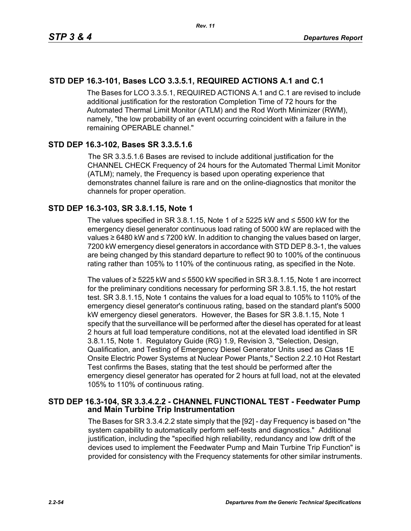# **STD DEP 16.3-101, Bases LCO 3.3.5.1, REQUIRED ACTIONS A.1 and C.1**

The Bases for LCO 3.3.5.1, REQUIRED ACTIONS A.1 and C.1 are revised to include additional justification for the restoration Completion Time of 72 hours for the Automated Thermal Limit Monitor (ATLM) and the Rod Worth Minimizer (RWM), namely, "the low probability of an event occurring coincident with a failure in the remaining OPERABLE channel."

## **STD DEP 16.3-102, Bases SR 3.3.5.1.6**

The SR 3.3.5.1.6 Bases are revised to include additional justification for the CHANNEL CHECK Frequency of 24 hours for the Automated Thermal Limit Monitor (ATLM); namely, the Frequency is based upon operating experience that demonstrates channel failure is rare and on the online-diagnostics that monitor the channels for proper operation.

## **STD DEP 16.3-103, SR 3.8.1.15, Note 1**

The values specified in SR 3.8.1.15, Note 1 of  $\geq$  5225 kW and  $\leq$  5500 kW for the emergency diesel generator continuous load rating of 5000 kW are replaced with the values ≥ 6480 kW and ≤ 7200 kW. In addition to changing the values based on larger, 7200 kW emergency diesel generators in accordance with STD DEP 8.3-1, the values are being changed by this standard departure to reflect 90 to 100% of the continuous rating rather than 105% to 110% of the continuous rating, as specified in the Note.

The values of ≥ 5225 kW and ≤ 5500 kW specified in SR 3.8.1.15, Note 1 are incorrect for the preliminary conditions necessary for performing SR 3.8.1.15, the hot restart test. SR 3.8.1.15, Note 1 contains the values for a load equal to 105% to 110% of the emergency diesel generator's continuous rating, based on the standard plant's 5000 kW emergency diesel generators. However, the Bases for SR 3.8.1.15, Note 1 specify that the surveillance will be performed after the diesel has operated for at least 2 hours at full load temperature conditions, not at the elevated load identified in SR 3.8.1.15, Note 1. Regulatory Guide (RG) 1.9, Revision 3, "Selection, Design, Qualification, and Testing of Emergency Diesel Generator Units used as Class 1E Onsite Electric Power Systems at Nuclear Power Plants," Section 2.2.10 Hot Restart Test confirms the Bases, stating that the test should be performed after the emergency diesel generator has operated for 2 hours at full load, not at the elevated 105% to 110% of continuous rating.

## **STD DEP 16.3-104, SR 3.3.4.2.2 - CHANNEL FUNCTIONAL TEST - Feedwater Pump and Main Turbine Trip Instrumentation**

The Bases for SR 3.3.4.2.2 state simply that the [92] - day Frequency is based on "the system capability to automatically perform self-tests and diagnostics." Additional justification, including the "specified high reliability, redundancy and low drift of the devices used to implement the Feedwater Pump and Main Turbine Trip Function" is provided for consistency with the Frequency statements for other similar instruments.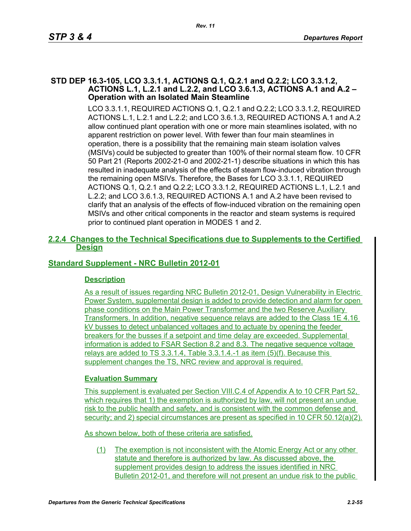#### **STD DEP 16.3-105, LCO 3.3.1.1, ACTIONS Q.1, Q.2.1 and Q.2.2; LCO 3.3.1.2, ACTIONS L.1, L.2.1 and L.2.2, and LCO 3.6.1.3, ACTIONS A.1 and A.2 – Operation with an Isolated Main Steamline**

LCO 3.3.1.1, REQUIRED ACTIONS Q.1, Q.2.1 and Q.2.2; LCO 3.3.1.2, REQUIRED ACTIONS L.1, L.2.1 and L.2.2; and LCO 3.6.1.3, REQUIRED ACTIONS A.1 and A.2 allow continued plant operation with one or more main steamlines isolated, with no apparent restriction on power level. With fewer than four main steamlines in operation, there is a possibility that the remaining main steam isolation valves (MSIVs) could be subjected to greater than 100% of their normal steam flow. 10 CFR 50 Part 21 (Reports 2002-21-0 and 2002-21-1) describe situations in which this has resulted in inadequate analysis of the effects of steam flow-induced vibration through the remaining open MSIVs. Therefore, the Bases for LCO 3.3.1.1, REQUIRED ACTIONS Q.1, Q.2.1 and Q.2.2; LCO 3.3.1.2, REQUIRED ACTIONS L.1, L.2.1 and L.2.2; and LCO 3.6.1.3, REQUIRED ACTIONS A.1 and A.2 have been revised to clarify that an analysis of the effects of flow-induced vibration on the remaining open MSIVs and other critical components in the reactor and steam systems is required prior to continued plant operation in MODES 1 and 2.

## **2.2.4 Changes to the Technical Specifications due to Supplements to the Certified Design**

# **Standard Supplement - NRC Bulletin 2012-01**

## **Description**

As a result of issues regarding NRC Bulletin 2012-01, Design Vulnerability in Electric Power System, supplemental design is added to provide detection and alarm for open phase conditions on the Main Power Transformer and the two Reserve Auxiliary Transformers. In addition, negative sequence relays are added to the Class 1E 4.16 kV busses to detect unbalanced voltages and to actuate by opening the feeder breakers for the busses if a setpoint and time delay are exceeded. Supplemental information is added to FSAR Section 8.2 and 8.3. The negative sequence voltage relays are added to TS 3.3.1.4, Table 3.3.1.4.-1 as item (5)(f). Because this supplement changes the TS, NRC review and approval is required.

## **Evaluation Summary**

This supplement is evaluated per Section VIII.C.4 of Appendix A to 10 CFR Part 52, which requires that 1) the exemption is authorized by law, will not present an undue risk to the public health and safety, and is consistent with the common defense and security; and 2) special circumstances are present as specified in 10 CFR 50.12(a)(2).

As shown below, both of these criteria are satisfied.

(1) The exemption is not inconsistent with the Atomic Energy Act or any other statute and therefore is authorized by law. As discussed above, the supplement provides design to address the issues identified in NRC Bulletin 2012-01, and therefore will not present an undue risk to the public